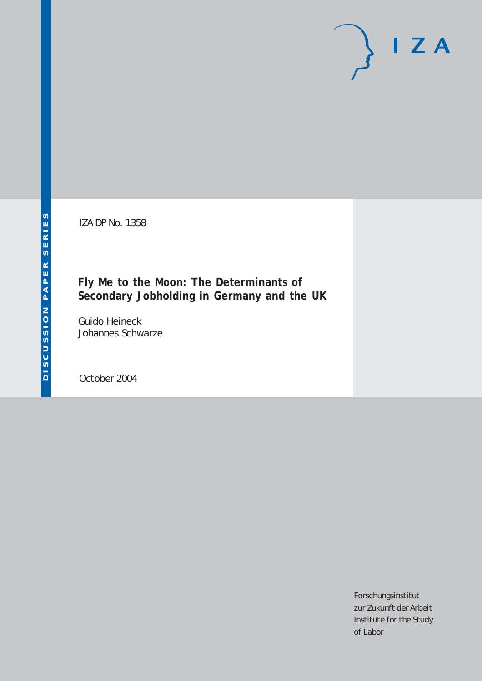IZA DP No. 1358

# **Fly Me to the Moon: The Determinants of Secondary Jobholding in Germany and the UK**

Guido Heineck Johannes Schwarze

October 2004

Forschungsinstitut zur Zukunft der Arbeit Institute for the Study of Labor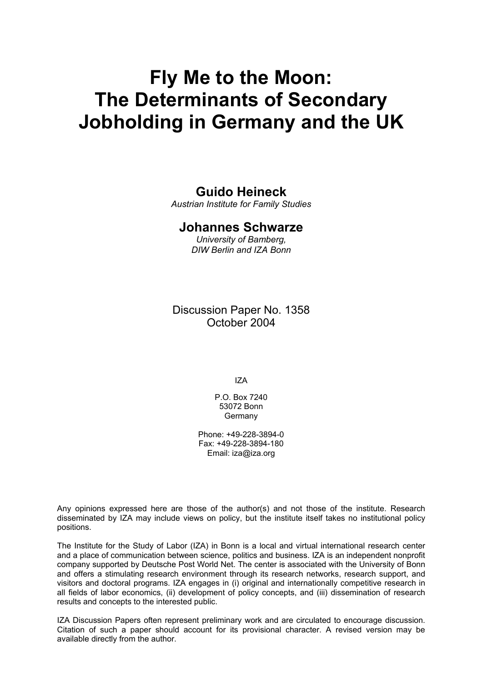# **Fly Me to the Moon: The Determinants of Secondary Jobholding in Germany and the UK**

## **Guido Heineck**

*Austrian Institute for Family Studies* 

### **Johannes Schwarze**

*University of Bamberg, DIW Berlin and IZA Bonn* 

Discussion Paper No. 1358 October 2004

IZA

P.O. Box 7240 53072 Bonn **Germany** 

Phone: +49-228-3894-0 Fax: +49-228-3894-180 Email: [iza@iza.org](mailto:iza@iza.org)

Any opinions expressed here are those of the author(s) and not those of the institute. Research disseminated by IZA may include views on policy, but the institute itself takes no institutional policy positions.

The Institute for the Study of Labor (IZA) in Bonn is a local and virtual international research center and a place of communication between science, politics and business. IZA is an independent nonprofit company supported by Deutsche Post World Net. The center is associated with the University of Bonn and offers a stimulating research environment through its research networks, research support, and visitors and doctoral programs. IZA engages in (i) original and internationally competitive research in all fields of labor economics, (ii) development of policy concepts, and (iii) dissemination of research results and concepts to the interested public.

IZA Discussion Papers often represent preliminary work and are circulated to encourage discussion. Citation of such a paper should account for its provisional character. A revised version may be available directly from the author.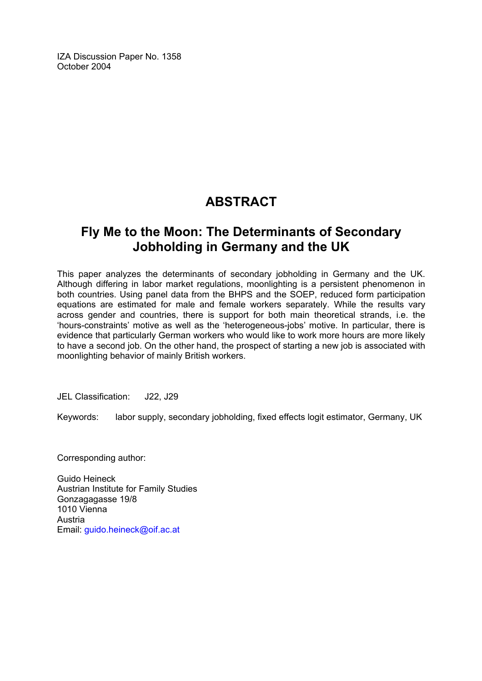IZA Discussion Paper No. 1358 October 2004

# **ABSTRACT**

# **Fly Me to the Moon: The Determinants of Secondary Jobholding in Germany and the UK**

This paper analyzes the determinants of secondary jobholding in Germany and the UK. Although differing in labor market regulations, moonlighting is a persistent phenomenon in both countries. Using panel data from the BHPS and the SOEP, reduced form participation equations are estimated for male and female workers separately. While the results vary across gender and countries, there is support for both main theoretical strands, i.e. the 'hours-constraints' motive as well as the 'heterogeneous-jobs' motive. In particular, there is evidence that particularly German workers who would like to work more hours are more likely to have a second job. On the other hand, the prospect of starting a new job is associated with moonlighting behavior of mainly British workers.

JEL Classification: J22, J29

Keywords: labor supply, secondary jobholding, fixed effects logit estimator, Germany, UK

Corresponding author:

Guido Heineck Austrian Institute for Family Studies Gonzagagasse 19/8 1010 Vienna Austria Email: [guido.heineck@oif.ac.at](mailto:guido.heineck@oif.ac.at)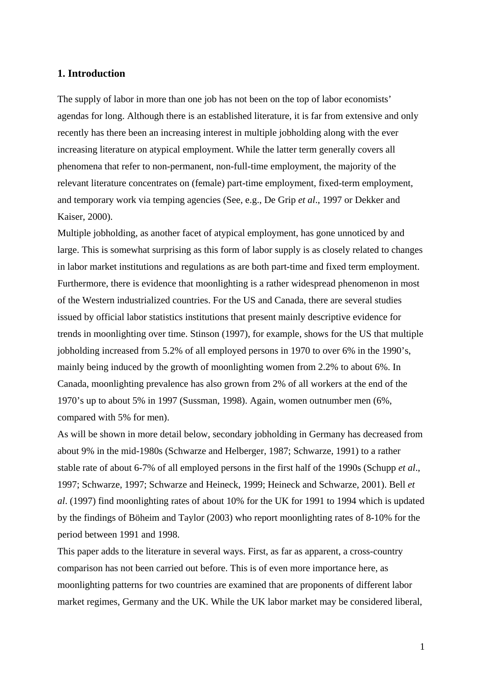#### **1. Introduction**

The supply of labor in more than one job has not been on the top of labor economists' agendas for long. Although there is an established literature, it is far from extensive and only recently has there been an increasing interest in multiple jobholding along with the ever increasing literature on atypical employment. While the latter term generally covers all phenomena that refer to non-permanent, non-full-time employment, the majority of the relevant literature concentrates on (female) part-time employment, fixed-term employment, and temporary work via temping agencies (See, e.g., De Grip *et al*., 1997 or Dekker and Kaiser, 2000).

Multiple jobholding, as another facet of atypical employment, has gone unnoticed by and large. This is somewhat surprising as this form of labor supply is as closely related to changes in labor market institutions and regulations as are both part-time and fixed term employment. Furthermore, there is evidence that moonlighting is a rather widespread phenomenon in most of the Western industrialized countries. For the US and Canada, there are several studies issued by official labor statistics institutions that present mainly descriptive evidence for trends in moonlighting over time. Stinson (1997), for example, shows for the US that multiple jobholding increased from 5.2% of all employed persons in 1970 to over 6% in the 1990's, mainly being induced by the growth of moonlighting women from 2.2% to about 6%. In Canada, moonlighting prevalence has also grown from 2% of all workers at the end of the 1970's up to about 5% in 1997 (Sussman, 1998). Again, women outnumber men (6%, compared with 5% for men).

As will be shown in more detail below, secondary jobholding in Germany has decreased from about 9% in the mid-1980s (Schwarze and Helberger, 1987; Schwarze, 1991) to a rather stable rate of about 6-7% of all employed persons in the first half of the 1990s (Schupp *et al*., 1997; Schwarze, 1997; Schwarze and Heineck, 1999; Heineck and Schwarze, 2001). Bell *et al*. (1997) find moonlighting rates of about 10% for the UK for 1991 to 1994 which is updated by the findings of Böheim and Taylor (2003) who report moonlighting rates of 8-10% for the period between 1991 and 1998.

This paper adds to the literature in several ways. First, as far as apparent, a cross-country comparison has not been carried out before. This is of even more importance here, as moonlighting patterns for two countries are examined that are proponents of different labor market regimes, Germany and the UK. While the UK labor market may be considered liberal,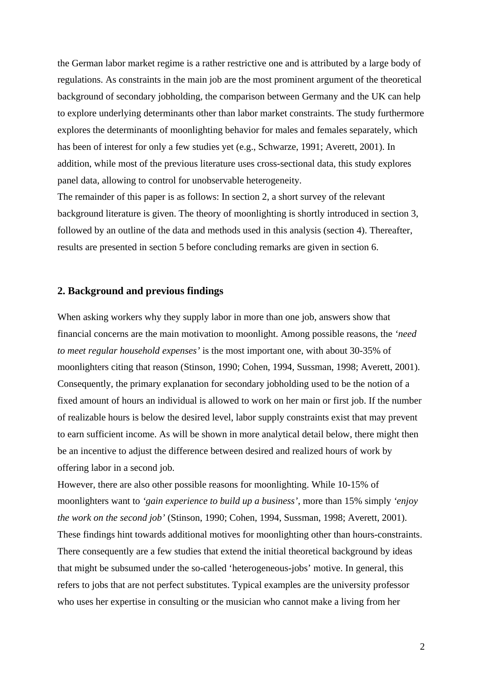the German labor market regime is a rather restrictive one and is attributed by a large body of regulations. As constraints in the main job are the most prominent argument of the theoretical background of secondary jobholding, the comparison between Germany and the UK can help to explore underlying determinants other than labor market constraints. The study furthermore explores the determinants of moonlighting behavior for males and females separately, which has been of interest for only a few studies yet (e.g., Schwarze, 1991; Averett, 2001). In addition, while most of the previous literature uses cross-sectional data, this study explores panel data, allowing to control for unobservable heterogeneity.

The remainder of this paper is as follows: In section 2, a short survey of the relevant background literature is given. The theory of moonlighting is shortly introduced in section 3, followed by an outline of the data and methods used in this analysis (section 4). Thereafter, results are presented in section 5 before concluding remarks are given in section 6.

#### **2. Background and previous findings**

When asking workers why they supply labor in more than one job, answers show that financial concerns are the main motivation to moonlight. Among possible reasons, the *'need to meet regular household expenses'* is the most important one, with about 30-35% of moonlighters citing that reason (Stinson, 1990; Cohen, 1994, Sussman, 1998; Averett, 2001). Consequently, the primary explanation for secondary jobholding used to be the notion of a fixed amount of hours an individual is allowed to work on her main or first job. If the number of realizable hours is below the desired level, labor supply constraints exist that may prevent to earn sufficient income. As will be shown in more analytical detail below, there might then be an incentive to adjust the difference between desired and realized hours of work by offering labor in a second job.

However, there are also other possible reasons for moonlighting. While 10-15% of moonlighters want to *'gain experience to build up a business'*, more than 15% simply *'enjoy the work on the second job'* (Stinson, 1990; Cohen, 1994, Sussman, 1998; Averett, 2001). These findings hint towards additional motives for moonlighting other than hours-constraints. There consequently are a few studies that extend the initial theoretical background by ideas that might be subsumed under the so-called 'heterogeneous-jobs' motive. In general, this refers to jobs that are not perfect substitutes. Typical examples are the university professor who uses her expertise in consulting or the musician who cannot make a living from her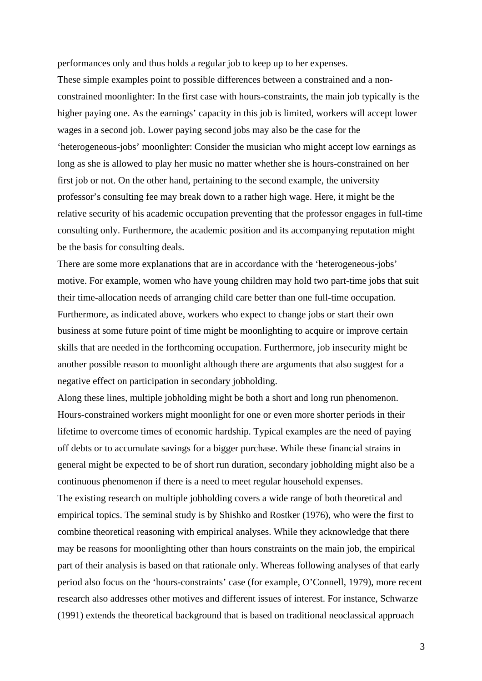performances only and thus holds a regular job to keep up to her expenses.

These simple examples point to possible differences between a constrained and a nonconstrained moonlighter: In the first case with hours-constraints, the main job typically is the higher paying one. As the earnings' capacity in this job is limited, workers will accept lower wages in a second job. Lower paying second jobs may also be the case for the 'heterogeneous-jobs' moonlighter: Consider the musician who might accept low earnings as long as she is allowed to play her music no matter whether she is hours-constrained on her first job or not. On the other hand, pertaining to the second example, the university professor's consulting fee may break down to a rather high wage. Here, it might be the relative security of his academic occupation preventing that the professor engages in full-time consulting only. Furthermore, the academic position and its accompanying reputation might be the basis for consulting deals.

There are some more explanations that are in accordance with the 'heterogeneous-jobs' motive. For example, women who have young children may hold two part-time jobs that suit their time-allocation needs of arranging child care better than one full-time occupation. Furthermore, as indicated above, workers who expect to change jobs or start their own business at some future point of time might be moonlighting to acquire or improve certain skills that are needed in the forthcoming occupation. Furthermore, job insecurity might be another possible reason to moonlight although there are arguments that also suggest for a negative effect on participation in secondary jobholding.

Along these lines, multiple jobholding might be both a short and long run phenomenon. Hours-constrained workers might moonlight for one or even more shorter periods in their lifetime to overcome times of economic hardship. Typical examples are the need of paying off debts or to accumulate savings for a bigger purchase. While these financial strains in general might be expected to be of short run duration, secondary jobholding might also be a continuous phenomenon if there is a need to meet regular household expenses.

The existing research on multiple jobholding covers a wide range of both theoretical and empirical topics. The seminal study is by Shishko and Rostker (1976), who were the first to combine theoretical reasoning with empirical analyses. While they acknowledge that there may be reasons for moonlighting other than hours constraints on the main job, the empirical part of their analysis is based on that rationale only. Whereas following analyses of that early period also focus on the 'hours-constraints' case (for example, O'Connell, 1979), more recent research also addresses other motives and different issues of interest. For instance, Schwarze (1991) extends the theoretical background that is based on traditional neoclassical approach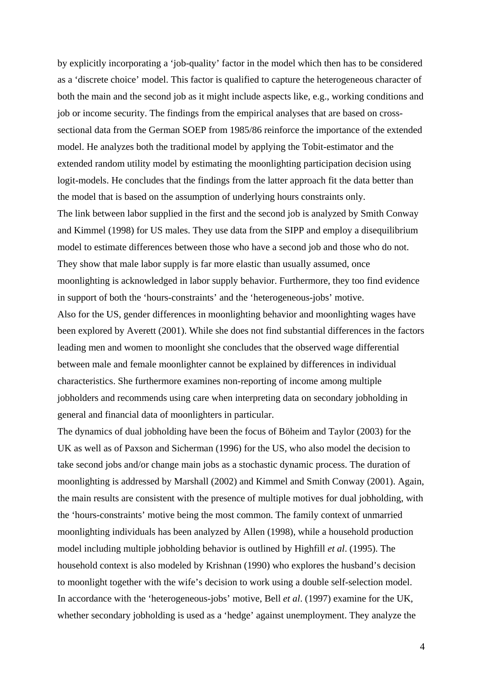by explicitly incorporating a 'job-quality' factor in the model which then has to be considered as a 'discrete choice' model. This factor is qualified to capture the heterogeneous character of both the main and the second job as it might include aspects like, e.g., working conditions and job or income security. The findings from the empirical analyses that are based on crosssectional data from the German SOEP from 1985/86 reinforce the importance of the extended model. He analyzes both the traditional model by applying the Tobit-estimator and the extended random utility model by estimating the moonlighting participation decision using logit-models. He concludes that the findings from the latter approach fit the data better than the model that is based on the assumption of underlying hours constraints only. The link between labor supplied in the first and the second job is analyzed by Smith Conway and Kimmel (1998) for US males. They use data from the SIPP and employ a disequilibrium model to estimate differences between those who have a second job and those who do not. They show that male labor supply is far more elastic than usually assumed, once moonlighting is acknowledged in labor supply behavior. Furthermore, they too find evidence in support of both the 'hours-constraints' and the 'heterogeneous-jobs' motive. Also for the US, gender differences in moonlighting behavior and moonlighting wages have been explored by Averett (2001). While she does not find substantial differences in the factors leading men and women to moonlight she concludes that the observed wage differential between male and female moonlighter cannot be explained by differences in individual characteristics. She furthermore examines non-reporting of income among multiple jobholders and recommends using care when interpreting data on secondary jobholding in general and financial data of moonlighters in particular.

The dynamics of dual jobholding have been the focus of Böheim and Taylor (2003) for the UK as well as of Paxson and Sicherman (1996) for the US, who also model the decision to take second jobs and/or change main jobs as a stochastic dynamic process. The duration of moonlighting is addressed by Marshall (2002) and Kimmel and Smith Conway (2001). Again, the main results are consistent with the presence of multiple motives for dual jobholding, with the 'hours-constraints' motive being the most common. The family context of unmarried moonlighting individuals has been analyzed by Allen (1998), while a household production model including multiple jobholding behavior is outlined by Highfill *et al*. (1995). The household context is also modeled by Krishnan (1990) who explores the husband's decision to moonlight together with the wife's decision to work using a double self-selection model. In accordance with the 'heterogeneous-jobs' motive, Bell *et al*. (1997) examine for the UK, whether secondary jobholding is used as a 'hedge' against unemployment. They analyze the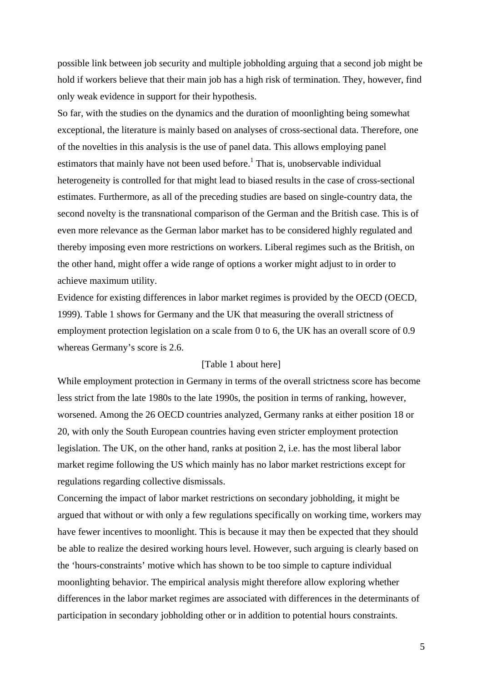possible link between job security and multiple jobholding arguing that a second job might be hold if workers believe that their main job has a high risk of termination. They, however, find only weak evidence in support for their hypothesis.

So far, with the studies on the dynamics and the duration of moonlighting being somewhat exceptional, the literature is mainly based on analyses of cross-sectional data. Therefore, one of the novelties in this analysis is the use of panel data. This allows employing panel estimators that mainly have not been used before.<sup>1</sup> That is, unobservable individual heterogeneity is controlled for that might lead to biased results in the case of cross-sectional estimates. Furthermore, as all of the preceding studies are based on single-country data, the second novelty is the transnational comparison of the German and the British case. This is of even more relevance as the German labor market has to be considered highly regulated and thereby imposing even more restrictions on workers. Liberal regimes such as the British, on the other hand, might offer a wide range of options a worker might adjust to in order to achieve maximum utility.

Evidence for existing differences in labor market regimes is provided by the OECD (OECD, 1999). Table 1 shows for Germany and the UK that measuring the overall strictness of employment protection legislation on a scale from 0 to 6, the UK has an overall score of 0.9 whereas Germany's score is 2.6.

#### [Table 1 about here]

While employment protection in Germany in terms of the overall strictness score has become less strict from the late 1980s to the late 1990s, the position in terms of ranking, however, worsened. Among the 26 OECD countries analyzed, Germany ranks at either position 18 or 20, with only the South European countries having even stricter employment protection legislation. The UK, on the other hand, ranks at position 2, i.e. has the most liberal labor market regime following the US which mainly has no labor market restrictions except for regulations regarding collective dismissals.

Concerning the impact of labor market restrictions on secondary jobholding, it might be argued that without or with only a few regulations specifically on working time, workers may have fewer incentives to moonlight. This is because it may then be expected that they should be able to realize the desired working hours level. However, such arguing is clearly based on the 'hours-constraints' motive which has shown to be too simple to capture individual moonlighting behavior. The empirical analysis might therefore allow exploring whether differences in the labor market regimes are associated with differences in the determinants of participation in secondary jobholding other or in addition to potential hours constraints.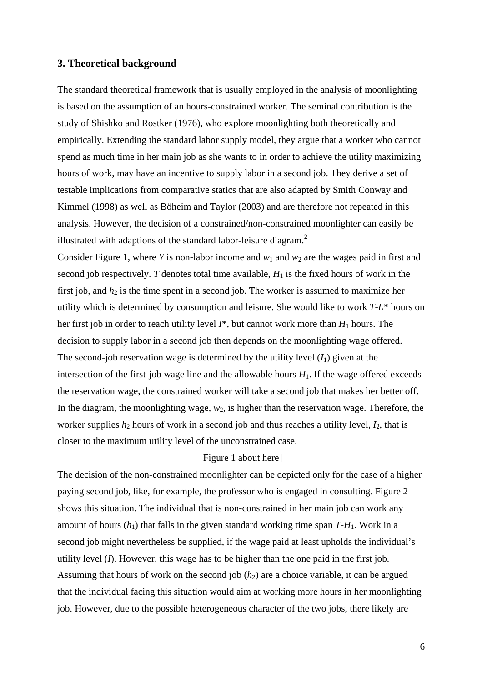#### **3. Theoretical background**

The standard theoretical framework that is usually employed in the analysis of moonlighting is based on the assumption of an hours-constrained worker. The seminal contribution is the study of Shishko and Rostker (1976), who explore moonlighting both theoretically and empirically. Extending the standard labor supply model, they argue that a worker who cannot spend as much time in her main job as she wants to in order to achieve the utility maximizing hours of work, may have an incentive to supply labor in a second job. They derive a set of testable implications from comparative statics that are also adapted by Smith Conway and Kimmel (1998) as well as Böheim and Taylor (2003) and are therefore not repeated in this analysis. However, the decision of a constrained/non-constrained moonlighter can easily be illustrated with adaptions of the standard labor-leisure diagram.<sup>2</sup>

Consider Figure 1, where *Y* is non-labor income and  $w_1$  and  $w_2$  are the wages paid in first and second job respectively. *T* denotes total time available,  $H_1$  is the fixed hours of work in the first job, and  $h_2$  is the time spent in a second job. The worker is assumed to maximize her utility which is determined by consumption and leisure. She would like to work *T*-*L*\* hours on her first job in order to reach utility level  $I^*$ , but cannot work more than  $H_1$  hours. The decision to supply labor in a second job then depends on the moonlighting wage offered. The second-job reservation wage is determined by the utility level  $(I_1)$  given at the intersection of the first-job wage line and the allowable hours  $H_1$ . If the wage offered exceeds the reservation wage, the constrained worker will take a second job that makes her better off. In the diagram, the moonlighting wage,  $w_2$ , is higher than the reservation wage. Therefore, the worker supplies  $h_2$  hours of work in a second job and thus reaches a utility level,  $I_2$ , that is closer to the maximum utility level of the unconstrained case.

#### [Figure 1 about here]

The decision of the non-constrained moonlighter can be depicted only for the case of a higher paying second job, like, for example, the professor who is engaged in consulting. Figure 2 shows this situation. The individual that is non-constrained in her main job can work any amount of hours  $(h_1)$  that falls in the given standard working time span  $T-H_1$ . Work in a second job might nevertheless be supplied, if the wage paid at least upholds the individual's utility level (*I*). However, this wage has to be higher than the one paid in the first job. Assuming that hours of work on the second job  $(h<sub>2</sub>)$  are a choice variable, it can be argued that the individual facing this situation would aim at working more hours in her moonlighting job. However, due to the possible heterogeneous character of the two jobs, there likely are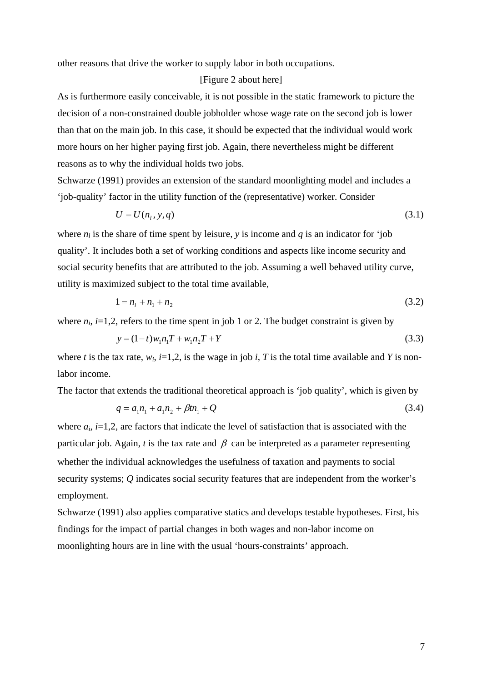other reasons that drive the worker to supply labor in both occupations.

#### [Figure 2 about here]

As is furthermore easily conceivable, it is not possible in the static framework to picture the decision of a non-constrained double jobholder whose wage rate on the second job is lower than that on the main job. In this case, it should be expected that the individual would work more hours on her higher paying first job. Again, there nevertheless might be different reasons as to why the individual holds two jobs.

Schwarze (1991) provides an extension of the standard moonlighting model and includes a 'job-quality' factor in the utility function of the (representative) worker. Consider

$$
U = U(n_1, y, q) \tag{3.1}
$$

where  $n_l$  is the share of time spent by leisure, *y* is income and *q* is an indicator for 'job quality'. It includes both a set of working conditions and aspects like income security and social security benefits that are attributed to the job. Assuming a well behaved utility curve, utility is maximized subject to the total time available,

$$
1 = n_1 + n_1 + n_2 \tag{3.2}
$$

where  $n_i$ ,  $i=1,2$ , refers to the time spent in job 1 or 2. The budget constraint is given by

$$
y = (1 - t)w_1 n_1 T + w_1 n_2 T + Y \tag{3.3}
$$

where *t* is the tax rate,  $w_i$ ,  $i=1,2$ , is the wage in job *i*, *T* is the total time available and *Y* is nonlabor income.

The factor that extends the traditional theoretical approach is 'job quality', which is given by

$$
q = a_1 n_1 + a_1 n_2 + \beta t n_1 + Q \tag{3.4}
$$

where  $a_i$ ,  $i=1,2$ , are factors that indicate the level of satisfaction that is associated with the particular job. Again,  $t$  is the tax rate and  $\beta$  can be interpreted as a parameter representing whether the individual acknowledges the usefulness of taxation and payments to social security systems; *Q* indicates social security features that are independent from the worker's employment.

Schwarze (1991) also applies comparative statics and develops testable hypotheses. First, his findings for the impact of partial changes in both wages and non-labor income on moonlighting hours are in line with the usual 'hours-constraints' approach.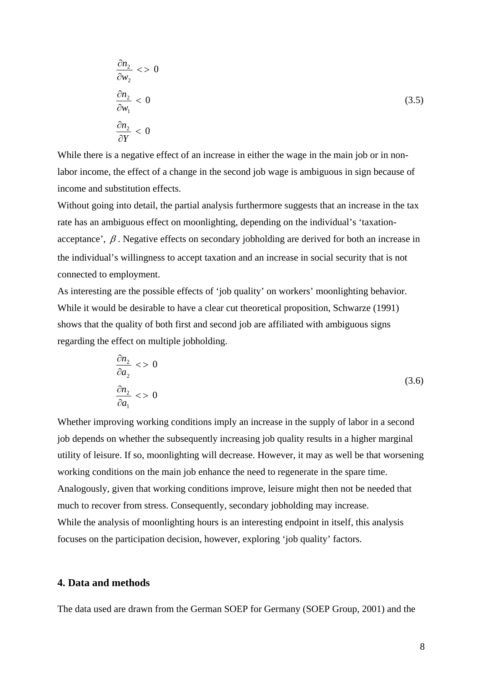$$
\frac{\partial n_2}{\partial w_2} \le 0
$$
\n
$$
\frac{\partial n_2}{\partial w_1} < 0 \tag{3.5}
$$
\n
$$
\frac{\partial n_2}{\partial Y} < 0
$$

While there is a negative effect of an increase in either the wage in the main job or in nonlabor income, the effect of a change in the second job wage is ambiguous in sign because of income and substitution effects.

Without going into detail, the partial analysis furthermore suggests that an increase in the tax rate has an ambiguous effect on moonlighting, depending on the individual's 'taxationacceptance',  $\beta$ . Negative effects on secondary jobholding are derived for both an increase in the individual's willingness to accept taxation and an increase in social security that is not connected to employment.

As interesting are the possible effects of 'job quality' on workers' moonlighting behavior. While it would be desirable to have a clear cut theoretical proposition, Schwarze (1991) shows that the quality of both first and second job are affiliated with ambiguous signs regarding the effect on multiple jobholding.

$$
\frac{\partial n_2}{\partial a_2} \leq 0
$$
\n
$$
\frac{\partial n_2}{\partial a_1} \leq 0
$$
\n(3.6)

Whether improving working conditions imply an increase in the supply of labor in a second job depends on whether the subsequently increasing job quality results in a higher marginal utility of leisure. If so, moonlighting will decrease. However, it may as well be that worsening working conditions on the main job enhance the need to regenerate in the spare time. Analogously, given that working conditions improve, leisure might then not be needed that much to recover from stress. Consequently, secondary jobholding may increase. While the analysis of moonlighting hours is an interesting endpoint in itself, this analysis focuses on the participation decision, however, exploring 'job quality' factors.

#### **4. Data and methods**

The data used are drawn from the German SOEP for Germany (SOEP Group, 2001) and the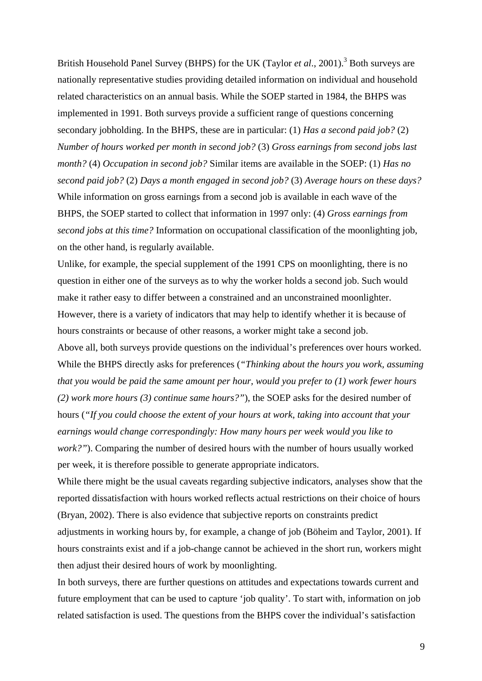British Household Panel Survey (BHPS) for the UK (Taylor *et al.*, 2001).<sup>3</sup> Both surveys are nationally representative studies providing detailed information on individual and household related characteristics on an annual basis. While the SOEP started in 1984, the BHPS was implemented in 1991. Both surveys provide a sufficient range of questions concerning secondary jobholding. In the BHPS, these are in particular: (1) *Has a second paid job?* (2) *Number of hours worked per month in second job?* (3) *Gross earnings from second jobs last month?* (4) *Occupation in second job?* Similar items are available in the SOEP: (1) *Has no second paid job?* (2) *Days a month engaged in second job?* (3) *Average hours on these days?* While information on gross earnings from a second job is available in each wave of the BHPS, the SOEP started to collect that information in 1997 only: (4) *Gross earnings from second jobs at this time?* Information on occupational classification of the moonlighting job, on the other hand, is regularly available.

Unlike, for example, the special supplement of the 1991 CPS on moonlighting, there is no question in either one of the surveys as to why the worker holds a second job. Such would make it rather easy to differ between a constrained and an unconstrained moonlighter. However, there is a variety of indicators that may help to identify whether it is because of hours constraints or because of other reasons, a worker might take a second job.

Above all, both surveys provide questions on the individual's preferences over hours worked. While the BHPS directly asks for preferences (*"Thinking about the hours you work, assuming that you would be paid the same amount per hour, would you prefer to (1) work fewer hours (2) work more hours (3) continue same hours?"*), the SOEP asks for the desired number of hours (*"If you could choose the extent of your hours at work, taking into account that your earnings would change correspondingly: How many hours per week would you like to work?"*). Comparing the number of desired hours with the number of hours usually worked per week, it is therefore possible to generate appropriate indicators.

While there might be the usual caveats regarding subjective indicators, analyses show that the reported dissatisfaction with hours worked reflects actual restrictions on their choice of hours (Bryan, 2002). There is also evidence that subjective reports on constraints predict adjustments in working hours by, for example, a change of job (Böheim and Taylor, 2001). If hours constraints exist and if a job-change cannot be achieved in the short run, workers might then adjust their desired hours of work by moonlighting.

In both surveys, there are further questions on attitudes and expectations towards current and future employment that can be used to capture 'job quality'. To start with, information on job related satisfaction is used. The questions from the BHPS cover the individual's satisfaction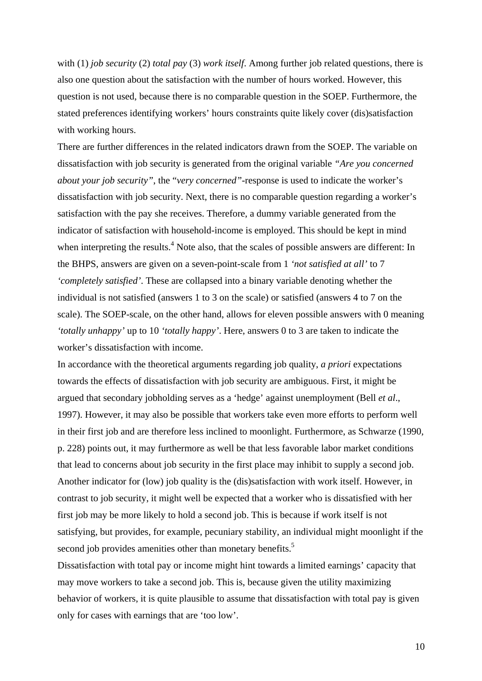with (1) *job security* (2) *total pay* (3) *work itself*. Among further job related questions, there is also one question about the satisfaction with the number of hours worked. However, this question is not used, because there is no comparable question in the SOEP. Furthermore, the stated preferences identifying workers' hours constraints quite likely cover (dis)satisfaction with working hours.

There are further differences in the related indicators drawn from the SOEP. The variable on dissatisfaction with job security is generated from the original variable *"Are you concerned about your job security"*, the "*very concerned"*-response is used to indicate the worker's dissatisfaction with job security. Next, there is no comparable question regarding a worker's satisfaction with the pay she receives. Therefore, a dummy variable generated from the indicator of satisfaction with household-income is employed. This should be kept in mind when interpreting the results.<sup>4</sup> Note also, that the scales of possible answers are different: In the BHPS, answers are given on a seven-point-scale from 1 *'not satisfied at all'* to 7 *'completely satisfied'*. These are collapsed into a binary variable denoting whether the individual is not satisfied (answers 1 to 3 on the scale) or satisfied (answers 4 to 7 on the scale). The SOEP-scale, on the other hand, allows for eleven possible answers with 0 meaning *'totally unhappy'* up to 10 *'totally happy'*. Here, answers 0 to 3 are taken to indicate the worker's dissatisfaction with income.

In accordance with the theoretical arguments regarding job quality, *a priori* expectations towards the effects of dissatisfaction with job security are ambiguous. First, it might be argued that secondary jobholding serves as a 'hedge' against unemployment (Bell *et al*., 1997). However, it may also be possible that workers take even more efforts to perform well in their first job and are therefore less inclined to moonlight. Furthermore, as Schwarze (1990, p. 228) points out, it may furthermore as well be that less favorable labor market conditions that lead to concerns about job security in the first place may inhibit to supply a second job. Another indicator for (low) job quality is the (dis)satisfaction with work itself. However, in contrast to job security, it might well be expected that a worker who is dissatisfied with her first job may be more likely to hold a second job. This is because if work itself is not satisfying, but provides, for example, pecuniary stability, an individual might moonlight if the second job provides amenities other than monetary benefits.<sup>5</sup>

Dissatisfaction with total pay or income might hint towards a limited earnings' capacity that may move workers to take a second job. This is, because given the utility maximizing behavior of workers, it is quite plausible to assume that dissatisfaction with total pay is given only for cases with earnings that are 'too low'.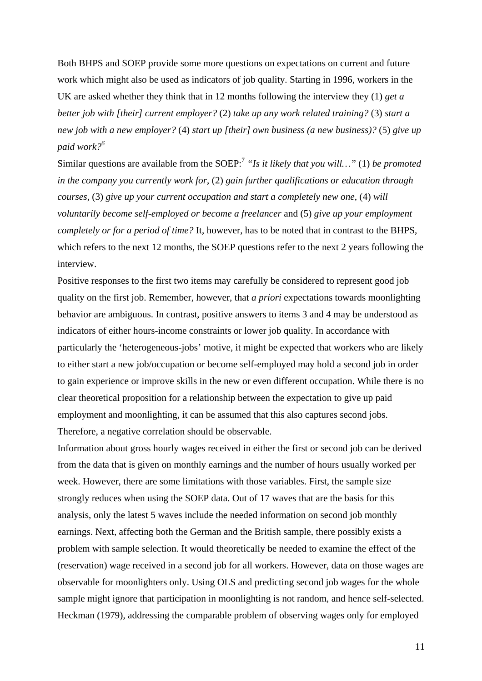Both BHPS and SOEP provide some more questions on expectations on current and future work which might also be used as indicators of job quality. Starting in 1996, workers in the UK are asked whether they think that in 12 months following the interview they (1) *get a better job with [their] current employer?* (2) *take up any work related training?* (3) *start a new job with a new employer?* (4) *start up [their] own business (a new business)?* (5) *give up paid work?<sup>6</sup>*

Similar questions are available from the SOEP:7 *"Is it likely that you will…"* (1) *be promoted in the company you currently work for*, (2) *gain further qualifications or education through courses*, (3) *give up your current occupation and start a completely new one*, (4) *will voluntarily become self-employed or become a freelancer* and (5) *give up your employment completely or for a period of time?* It, however, has to be noted that in contrast to the BHPS, which refers to the next 12 months, the SOEP questions refer to the next 2 years following the interview.

Positive responses to the first two items may carefully be considered to represent good job quality on the first job. Remember, however, that *a priori* expectations towards moonlighting behavior are ambiguous. In contrast, positive answers to items 3 and 4 may be understood as indicators of either hours-income constraints or lower job quality. In accordance with particularly the 'heterogeneous-jobs' motive, it might be expected that workers who are likely to either start a new job/occupation or become self-employed may hold a second job in order to gain experience or improve skills in the new or even different occupation. While there is no clear theoretical proposition for a relationship between the expectation to give up paid employment and moonlighting, it can be assumed that this also captures second jobs. Therefore, a negative correlation should be observable.

Information about gross hourly wages received in either the first or second job can be derived from the data that is given on monthly earnings and the number of hours usually worked per week. However, there are some limitations with those variables. First, the sample size strongly reduces when using the SOEP data. Out of 17 waves that are the basis for this analysis, only the latest 5 waves include the needed information on second job monthly earnings. Next, affecting both the German and the British sample, there possibly exists a problem with sample selection. It would theoretically be needed to examine the effect of the (reservation) wage received in a second job for all workers. However, data on those wages are observable for moonlighters only. Using OLS and predicting second job wages for the whole sample might ignore that participation in moonlighting is not random, and hence self-selected. Heckman (1979), addressing the comparable problem of observing wages only for employed

11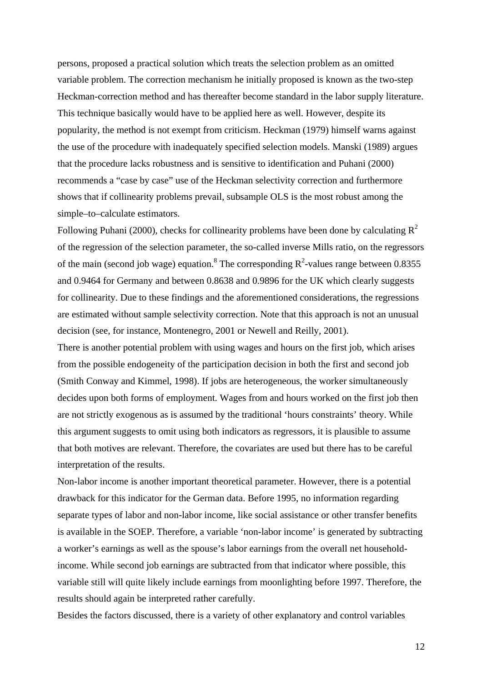persons, proposed a practical solution which treats the selection problem as an omitted variable problem. The correction mechanism he initially proposed is known as the two-step Heckman-correction method and has thereafter become standard in the labor supply literature. This technique basically would have to be applied here as well. However, despite its popularity, the method is not exempt from criticism. Heckman (1979) himself warns against the use of the procedure with inadequately specified selection models. Manski (1989) argues that the procedure lacks robustness and is sensitive to identification and Puhani (2000) recommends a "case by case" use of the Heckman selectivity correction and furthermore shows that if collinearity problems prevail, subsample OLS is the most robust among the simple–to–calculate estimators.

Following Puhani (2000), checks for collinearity problems have been done by calculating  $R^2$ of the regression of the selection parameter, the so-called inverse Mills ratio, on the regressors of the main (second job wage) equation.<sup>8</sup> The corresponding  $R^2$ -values range between 0.8355 and 0.9464 for Germany and between 0.8638 and 0.9896 for the UK which clearly suggests for collinearity. Due to these findings and the aforementioned considerations, the regressions are estimated without sample selectivity correction. Note that this approach is not an unusual decision (see, for instance, Montenegro, 2001 or Newell and Reilly, 2001).

There is another potential problem with using wages and hours on the first job, which arises from the possible endogeneity of the participation decision in both the first and second job (Smith Conway and Kimmel, 1998). If jobs are heterogeneous, the worker simultaneously decides upon both forms of employment. Wages from and hours worked on the first job then are not strictly exogenous as is assumed by the traditional 'hours constraints' theory. While this argument suggests to omit using both indicators as regressors, it is plausible to assume that both motives are relevant. Therefore, the covariates are used but there has to be careful interpretation of the results.

Non-labor income is another important theoretical parameter. However, there is a potential drawback for this indicator for the German data. Before 1995, no information regarding separate types of labor and non-labor income, like social assistance or other transfer benefits is available in the SOEP. Therefore, a variable 'non-labor income' is generated by subtracting a worker's earnings as well as the spouse's labor earnings from the overall net householdincome. While second job earnings are subtracted from that indicator where possible, this variable still will quite likely include earnings from moonlighting before 1997. Therefore, the results should again be interpreted rather carefully.

Besides the factors discussed, there is a variety of other explanatory and control variables

12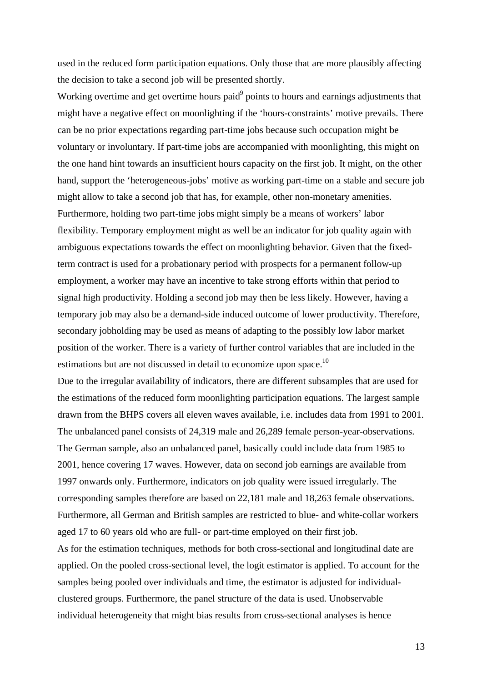used in the reduced form participation equations. Only those that are more plausibly affecting the decision to take a second job will be presented shortly.

Working overtime and get overtime hours paid $9$  points to hours and earnings adjustments that might have a negative effect on moonlighting if the 'hours-constraints' motive prevails. There can be no prior expectations regarding part-time jobs because such occupation might be voluntary or involuntary. If part-time jobs are accompanied with moonlighting, this might on the one hand hint towards an insufficient hours capacity on the first job. It might, on the other hand, support the 'heterogeneous-jobs' motive as working part-time on a stable and secure job might allow to take a second job that has, for example, other non-monetary amenities. Furthermore, holding two part-time jobs might simply be a means of workers' labor flexibility. Temporary employment might as well be an indicator for job quality again with ambiguous expectations towards the effect on moonlighting behavior. Given that the fixedterm contract is used for a probationary period with prospects for a permanent follow-up employment, a worker may have an incentive to take strong efforts within that period to signal high productivity. Holding a second job may then be less likely. However, having a temporary job may also be a demand-side induced outcome of lower productivity. Therefore, secondary jobholding may be used as means of adapting to the possibly low labor market position of the worker. There is a variety of further control variables that are included in the estimations but are not discussed in detail to economize upon space.<sup>10</sup>

Due to the irregular availability of indicators, there are different subsamples that are used for the estimations of the reduced form moonlighting participation equations. The largest sample drawn from the BHPS covers all eleven waves available, i.e. includes data from 1991 to 2001. The unbalanced panel consists of 24,319 male and 26,289 female person-year-observations. The German sample, also an unbalanced panel, basically could include data from 1985 to 2001, hence covering 17 waves. However, data on second job earnings are available from 1997 onwards only. Furthermore, indicators on job quality were issued irregularly. The corresponding samples therefore are based on 22,181 male and 18,263 female observations. Furthermore, all German and British samples are restricted to blue- and white-collar workers aged 17 to 60 years old who are full- or part-time employed on their first job.

As for the estimation techniques, methods for both cross-sectional and longitudinal date are applied. On the pooled cross-sectional level, the logit estimator is applied. To account for the samples being pooled over individuals and time, the estimator is adjusted for individualclustered groups. Furthermore, the panel structure of the data is used. Unobservable individual heterogeneity that might bias results from cross-sectional analyses is hence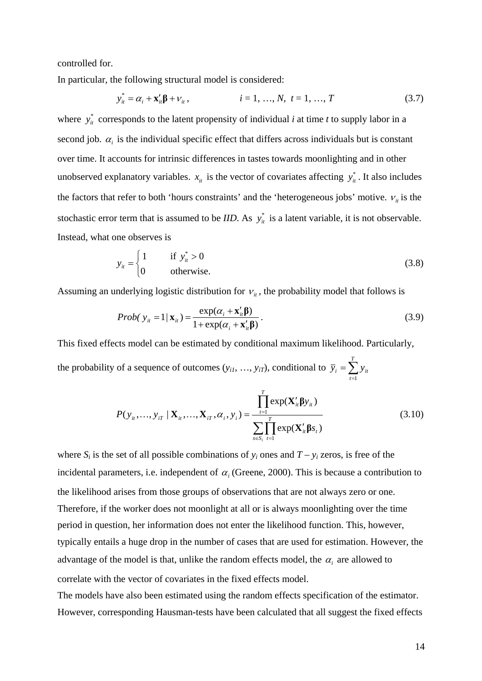controlled for.

In particular, the following structural model is considered:

$$
y_{it}^* = \alpha_i + \mathbf{x}_{it}' \mathbf{\beta} + V_{it}, \qquad i = 1, ..., N, \ t = 1, ..., T
$$
 (3.7)

where  $y_{it}^*$  corresponds to the latent propensity of individual *i* at time *t* to supply labor in a second job.  $\alpha_i$  is the individual specific effect that differs across individuals but is constant over time. It accounts for intrinsic differences in tastes towards moonlighting and in other unobserved explanatory variables.  $x_{it}$  is the vector of covariates affecting  $y_{it}^*$ . It also includes the factors that refer to both 'hours constraints' and the 'heterogeneous jobs' motive.  $v_{it}$  is the stochastic error term that is assumed to be *IID*. As  $y_{it}^*$  is a latent variable, it is not observable. Instead, what one observes is

$$
y_{it} = \begin{cases} 1 & \text{if } y_{it}^{*} > 0 \\ 0 & \text{otherwise.} \end{cases}
$$
 (3.8)

Assuming an underlying logistic distribution for  $v_{i}$ , the probability model that follows is

*Prob*( 
$$
y_{it} = 1 | \mathbf{x}_{it}
$$
) =  $\frac{\exp(\alpha_i + \mathbf{x}_{it}^{\prime} \mathbf{\beta})}{1 + \exp(\alpha_i + \mathbf{x}_{it}^{\prime} \mathbf{\beta})}$ . (3.9)

This fixed effects model can be estimated by conditional maximum likelihood. Particularly, the probability of a sequence of outcomes  $(y_{i1}, ..., y_{iT})$ , conditional to  $\bar{y}_i = \sum_{t=1}^T$  $\overline{y}_i = \sum y_{it}$ 

$$
P(y_{it},..., y_{iT} | \mathbf{X}_{it},..., \mathbf{X}_{iT}, \alpha_i, y_i) = \frac{\prod_{t=1}^{T} \exp(\mathbf{X}_{it}' \mathbf{\beta} y_{it})}{\sum_{s \in S_i} \prod_{t=1}^{T} \exp(\mathbf{X}_{it}' \mathbf{\beta} s_t)}
$$
(3.10)

*t*

1

where  $S_i$  is the set of all possible combinations of  $y_i$  ones and  $T - y_i$  zeros, is free of the incidental parameters, i.e. independent of  $\alpha$  (Greene, 2000). This is because a contribution to the likelihood arises from those groups of observations that are not always zero or one. Therefore, if the worker does not moonlight at all or is always moonlighting over the time period in question, her information does not enter the likelihood function. This, however, typically entails a huge drop in the number of cases that are used for estimation. However, the advantage of the model is that, unlike the random effects model, the  $\alpha_i$  are allowed to correlate with the vector of covariates in the fixed effects model.

The models have also been estimated using the random effects specification of the estimator. However, corresponding Hausman-tests have been calculated that all suggest the fixed effects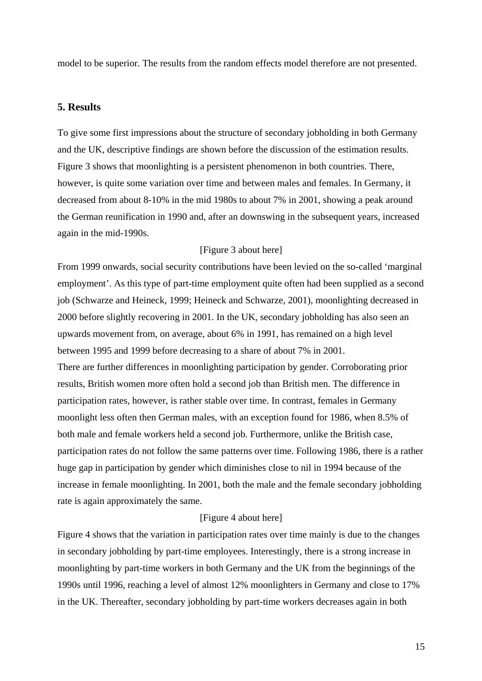model to be superior. The results from the random effects model therefore are not presented.

#### **5. Results**

To give some first impressions about the structure of secondary jobholding in both Germany and the UK, descriptive findings are shown before the discussion of the estimation results. Figure 3 shows that moonlighting is a persistent phenomenon in both countries. There, however, is quite some variation over time and between males and females. In Germany, it decreased from about 8-10% in the mid 1980s to about 7% in 2001, showing a peak around the German reunification in 1990 and, after an downswing in the subsequent years, increased again in the mid-1990s.

#### [Figure 3 about here]

From 1999 onwards, social security contributions have been levied on the so-called 'marginal employment'. As this type of part-time employment quite often had been supplied as a second job (Schwarze and Heineck, 1999; Heineck and Schwarze, 2001), moonlighting decreased in 2000 before slightly recovering in 2001. In the UK, secondary jobholding has also seen an upwards movement from, on average, about 6% in 1991, has remained on a high level between 1995 and 1999 before decreasing to a share of about 7% in 2001.

There are further differences in moonlighting participation by gender. Corroborating prior results, British women more often hold a second job than British men. The difference in participation rates, however, is rather stable over time. In contrast, females in Germany moonlight less often then German males, with an exception found for 1986, when 8.5% of both male and female workers held a second job. Furthermore, unlike the British case, participation rates do not follow the same patterns over time. Following 1986, there is a rather huge gap in participation by gender which diminishes close to nil in 1994 because of the increase in female moonlighting. In 2001, both the male and the female secondary jobholding rate is again approximately the same.

#### [Figure 4 about here]

Figure 4 shows that the variation in participation rates over time mainly is due to the changes in secondary jobholding by part-time employees. Interestingly, there is a strong increase in moonlighting by part-time workers in both Germany and the UK from the beginnings of the 1990s until 1996, reaching a level of almost 12% moonlighters in Germany and close to 17% in the UK. Thereafter, secondary jobholding by part-time workers decreases again in both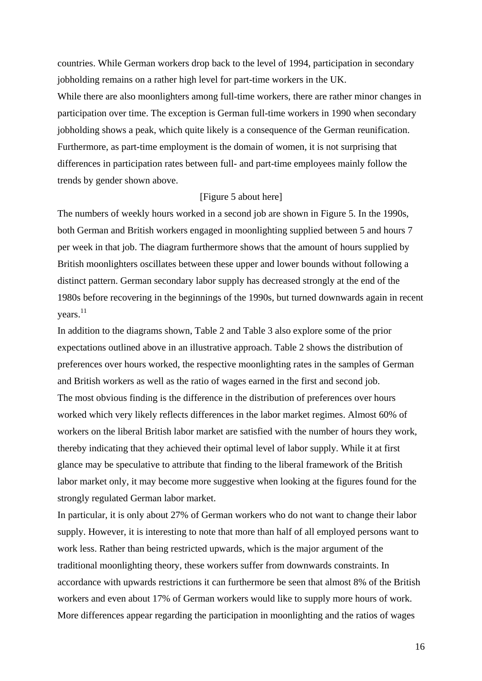countries. While German workers drop back to the level of 1994, participation in secondary jobholding remains on a rather high level for part-time workers in the UK.

While there are also moonlighters among full-time workers, there are rather minor changes in participation over time. The exception is German full-time workers in 1990 when secondary jobholding shows a peak, which quite likely is a consequence of the German reunification. Furthermore, as part-time employment is the domain of women, it is not surprising that differences in participation rates between full- and part-time employees mainly follow the trends by gender shown above.

#### [Figure 5 about here]

The numbers of weekly hours worked in a second job are shown in Figure 5. In the 1990s, both German and British workers engaged in moonlighting supplied between 5 and hours 7 per week in that job. The diagram furthermore shows that the amount of hours supplied by British moonlighters oscillates between these upper and lower bounds without following a distinct pattern. German secondary labor supply has decreased strongly at the end of the 1980s before recovering in the beginnings of the 1990s, but turned downwards again in recent  $years.<sup>11</sup>$ 

In addition to the diagrams shown, Table 2 and Table 3 also explore some of the prior expectations outlined above in an illustrative approach. Table 2 shows the distribution of preferences over hours worked, the respective moonlighting rates in the samples of German and British workers as well as the ratio of wages earned in the first and second job. The most obvious finding is the difference in the distribution of preferences over hours worked which very likely reflects differences in the labor market regimes. Almost 60% of workers on the liberal British labor market are satisfied with the number of hours they work, thereby indicating that they achieved their optimal level of labor supply. While it at first glance may be speculative to attribute that finding to the liberal framework of the British labor market only, it may become more suggestive when looking at the figures found for the strongly regulated German labor market.

In particular, it is only about 27% of German workers who do not want to change their labor supply. However, it is interesting to note that more than half of all employed persons want to work less. Rather than being restricted upwards, which is the major argument of the traditional moonlighting theory, these workers suffer from downwards constraints. In accordance with upwards restrictions it can furthermore be seen that almost 8% of the British workers and even about 17% of German workers would like to supply more hours of work. More differences appear regarding the participation in moonlighting and the ratios of wages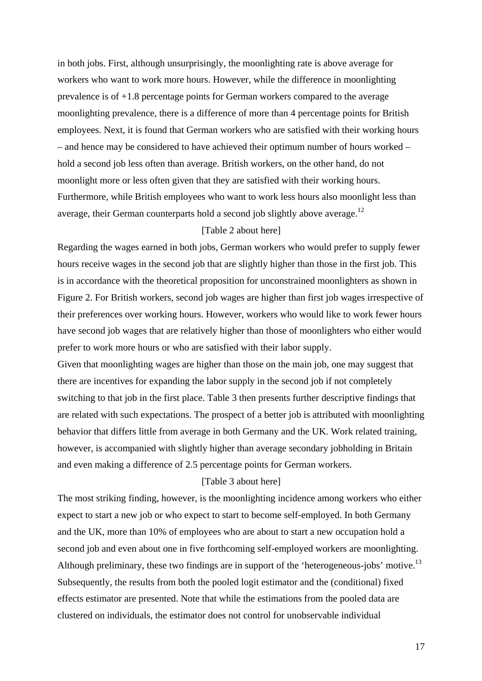in both jobs. First, although unsurprisingly, the moonlighting rate is above average for workers who want to work more hours. However, while the difference in moonlighting prevalence is of +1.8 percentage points for German workers compared to the average moonlighting prevalence, there is a difference of more than 4 percentage points for British employees. Next, it is found that German workers who are satisfied with their working hours – and hence may be considered to have achieved their optimum number of hours worked – hold a second job less often than average. British workers, on the other hand, do not moonlight more or less often given that they are satisfied with their working hours. Furthermore, while British employees who want to work less hours also moonlight less than average, their German counterparts hold a second job slightly above average.<sup>12</sup>

#### [Table 2 about here]

Regarding the wages earned in both jobs, German workers who would prefer to supply fewer hours receive wages in the second job that are slightly higher than those in the first job. This is in accordance with the theoretical proposition for unconstrained moonlighters as shown in Figure 2. For British workers, second job wages are higher than first job wages irrespective of their preferences over working hours. However, workers who would like to work fewer hours have second job wages that are relatively higher than those of moonlighters who either would prefer to work more hours or who are satisfied with their labor supply.

Given that moonlighting wages are higher than those on the main job, one may suggest that there are incentives for expanding the labor supply in the second job if not completely switching to that job in the first place. Table 3 then presents further descriptive findings that are related with such expectations. The prospect of a better job is attributed with moonlighting behavior that differs little from average in both Germany and the UK. Work related training, however, is accompanied with slightly higher than average secondary jobholding in Britain and even making a difference of 2.5 percentage points for German workers.

#### [Table 3 about here]

The most striking finding, however, is the moonlighting incidence among workers who either expect to start a new job or who expect to start to become self-employed. In both Germany and the UK, more than 10% of employees who are about to start a new occupation hold a second job and even about one in five forthcoming self-employed workers are moonlighting. Although preliminary, these two findings are in support of the 'heterogeneous-jobs' motive.<sup>13</sup> Subsequently, the results from both the pooled logit estimator and the (conditional) fixed effects estimator are presented. Note that while the estimations from the pooled data are clustered on individuals, the estimator does not control for unobservable individual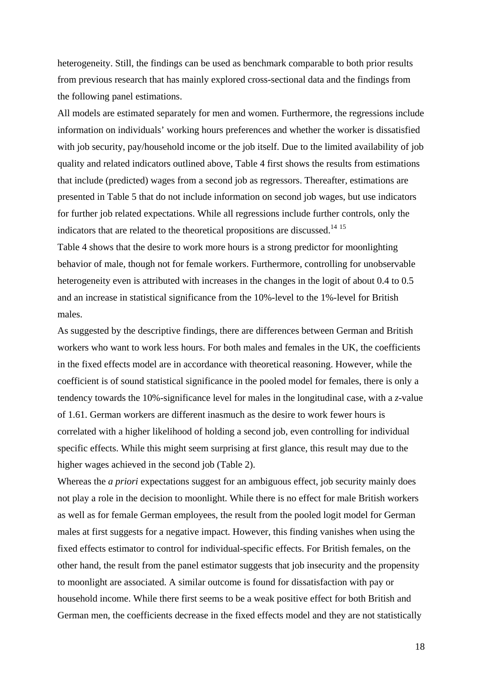heterogeneity. Still, the findings can be used as benchmark comparable to both prior results from previous research that has mainly explored cross-sectional data and the findings from the following panel estimations.

All models are estimated separately for men and women. Furthermore, the regressions include information on individuals' working hours preferences and whether the worker is dissatisfied with job security, pay/household income or the job itself. Due to the limited availability of job quality and related indicators outlined above, Table 4 first shows the results from estimations that include (predicted) wages from a second job as regressors. Thereafter, estimations are presented in Table 5 that do not include information on second job wages, but use indicators for further job related expectations. While all regressions include further controls, only the indicators that are related to the theoretical propositions are discussed.<sup>14 15</sup>

Table 4 shows that the desire to work more hours is a strong predictor for moonlighting behavior of male, though not for female workers. Furthermore, controlling for unobservable heterogeneity even is attributed with increases in the changes in the logit of about 0.4 to 0.5 and an increase in statistical significance from the 10%-level to the 1%-level for British males.

As suggested by the descriptive findings, there are differences between German and British workers who want to work less hours. For both males and females in the UK, the coefficients in the fixed effects model are in accordance with theoretical reasoning. However, while the coefficient is of sound statistical significance in the pooled model for females, there is only a tendency towards the 10%-significance level for males in the longitudinal case, with a *z*-value of 1.61. German workers are different inasmuch as the desire to work fewer hours is correlated with a higher likelihood of holding a second job, even controlling for individual specific effects. While this might seem surprising at first glance, this result may due to the higher wages achieved in the second job (Table 2).

Whereas the *a priori* expectations suggest for an ambiguous effect, job security mainly does not play a role in the decision to moonlight. While there is no effect for male British workers as well as for female German employees, the result from the pooled logit model for German males at first suggests for a negative impact. However, this finding vanishes when using the fixed effects estimator to control for individual-specific effects. For British females, on the other hand, the result from the panel estimator suggests that job insecurity and the propensity to moonlight are associated. A similar outcome is found for dissatisfaction with pay or household income. While there first seems to be a weak positive effect for both British and German men, the coefficients decrease in the fixed effects model and they are not statistically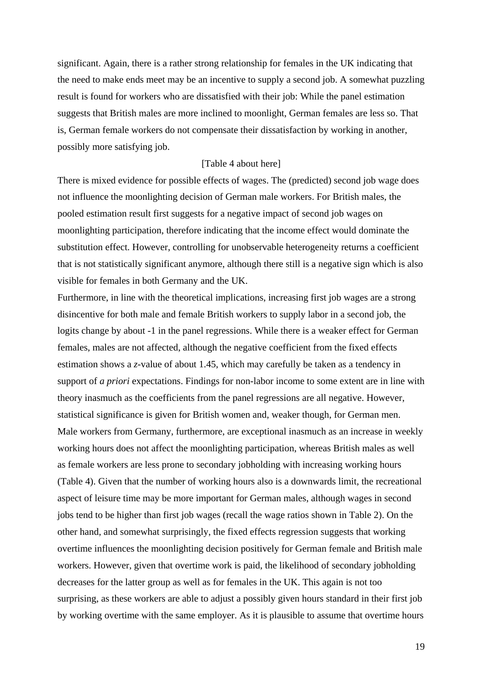significant. Again, there is a rather strong relationship for females in the UK indicating that the need to make ends meet may be an incentive to supply a second job. A somewhat puzzling result is found for workers who are dissatisfied with their job: While the panel estimation suggests that British males are more inclined to moonlight, German females are less so. That is, German female workers do not compensate their dissatisfaction by working in another, possibly more satisfying job.

#### [Table 4 about here]

There is mixed evidence for possible effects of wages. The (predicted) second job wage does not influence the moonlighting decision of German male workers. For British males, the pooled estimation result first suggests for a negative impact of second job wages on moonlighting participation, therefore indicating that the income effect would dominate the substitution effect. However, controlling for unobservable heterogeneity returns a coefficient that is not statistically significant anymore, although there still is a negative sign which is also visible for females in both Germany and the UK.

Furthermore, in line with the theoretical implications, increasing first job wages are a strong disincentive for both male and female British workers to supply labor in a second job, the logits change by about -1 in the panel regressions. While there is a weaker effect for German females, males are not affected, although the negative coefficient from the fixed effects estimation shows a *z*-value of about 1.45, which may carefully be taken as a tendency in support of *a priori* expectations. Findings for non-labor income to some extent are in line with theory inasmuch as the coefficients from the panel regressions are all negative. However, statistical significance is given for British women and, weaker though, for German men. Male workers from Germany, furthermore, are exceptional inasmuch as an increase in weekly working hours does not affect the moonlighting participation, whereas British males as well as female workers are less prone to secondary jobholding with increasing working hours (Table 4). Given that the number of working hours also is a downwards limit, the recreational aspect of leisure time may be more important for German males, although wages in second jobs tend to be higher than first job wages (recall the wage ratios shown in Table 2). On the other hand, and somewhat surprisingly, the fixed effects regression suggests that working overtime influences the moonlighting decision positively for German female and British male workers. However, given that overtime work is paid, the likelihood of secondary jobholding decreases for the latter group as well as for females in the UK. This again is not too surprising, as these workers are able to adjust a possibly given hours standard in their first job by working overtime with the same employer. As it is plausible to assume that overtime hours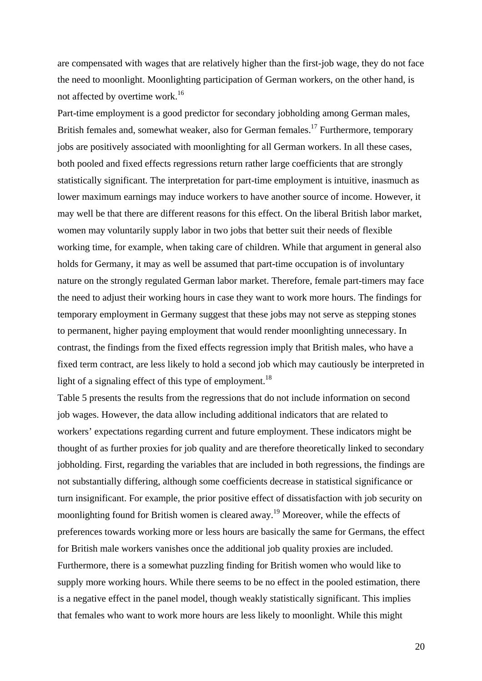are compensated with wages that are relatively higher than the first-job wage, they do not face the need to moonlight. Moonlighting participation of German workers, on the other hand, is not affected by overtime work.<sup>16</sup>

Part-time employment is a good predictor for secondary jobholding among German males, British females and, somewhat weaker, also for German females.<sup>17</sup> Furthermore, temporary jobs are positively associated with moonlighting for all German workers. In all these cases, both pooled and fixed effects regressions return rather large coefficients that are strongly statistically significant. The interpretation for part-time employment is intuitive, inasmuch as lower maximum earnings may induce workers to have another source of income. However, it may well be that there are different reasons for this effect. On the liberal British labor market, women may voluntarily supply labor in two jobs that better suit their needs of flexible working time, for example, when taking care of children. While that argument in general also holds for Germany, it may as well be assumed that part-time occupation is of involuntary nature on the strongly regulated German labor market. Therefore, female part-timers may face the need to adjust their working hours in case they want to work more hours. The findings for temporary employment in Germany suggest that these jobs may not serve as stepping stones to permanent, higher paying employment that would render moonlighting unnecessary. In contrast, the findings from the fixed effects regression imply that British males, who have a fixed term contract, are less likely to hold a second job which may cautiously be interpreted in light of a signaling effect of this type of employment.<sup>18</sup>

Table 5 presents the results from the regressions that do not include information on second job wages. However, the data allow including additional indicators that are related to workers' expectations regarding current and future employment. These indicators might be thought of as further proxies for job quality and are therefore theoretically linked to secondary jobholding. First, regarding the variables that are included in both regressions, the findings are not substantially differing, although some coefficients decrease in statistical significance or turn insignificant. For example, the prior positive effect of dissatisfaction with job security on moonlighting found for British women is cleared away.<sup>19</sup> Moreover, while the effects of preferences towards working more or less hours are basically the same for Germans, the effect for British male workers vanishes once the additional job quality proxies are included. Furthermore, there is a somewhat puzzling finding for British women who would like to supply more working hours. While there seems to be no effect in the pooled estimation, there is a negative effect in the panel model, though weakly statistically significant. This implies that females who want to work more hours are less likely to moonlight. While this might

20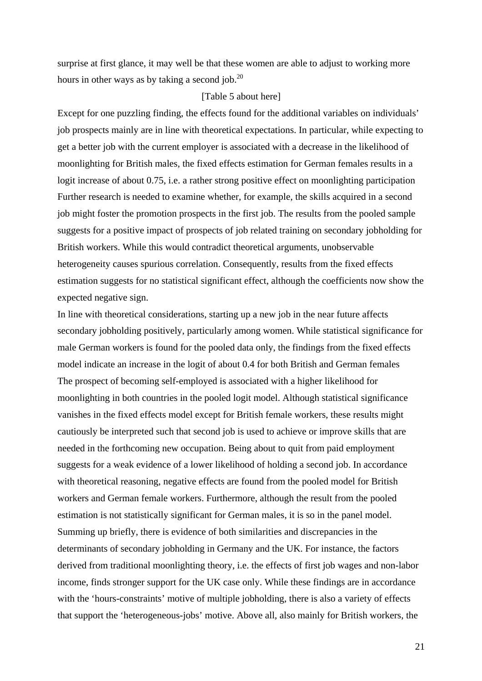surprise at first glance, it may well be that these women are able to adjust to working more hours in other ways as by taking a second job. $^{20}$ 

#### [Table 5 about here]

Except for one puzzling finding, the effects found for the additional variables on individuals' job prospects mainly are in line with theoretical expectations. In particular, while expecting to get a better job with the current employer is associated with a decrease in the likelihood of moonlighting for British males, the fixed effects estimation for German females results in a logit increase of about 0.75, i.e. a rather strong positive effect on moonlighting participation Further research is needed to examine whether, for example, the skills acquired in a second job might foster the promotion prospects in the first job. The results from the pooled sample suggests for a positive impact of prospects of job related training on secondary jobholding for British workers. While this would contradict theoretical arguments, unobservable heterogeneity causes spurious correlation. Consequently, results from the fixed effects estimation suggests for no statistical significant effect, although the coefficients now show the expected negative sign.

In line with theoretical considerations, starting up a new job in the near future affects secondary jobholding positively, particularly among women. While statistical significance for male German workers is found for the pooled data only, the findings from the fixed effects model indicate an increase in the logit of about 0.4 for both British and German females The prospect of becoming self-employed is associated with a higher likelihood for moonlighting in both countries in the pooled logit model. Although statistical significance vanishes in the fixed effects model except for British female workers, these results might cautiously be interpreted such that second job is used to achieve or improve skills that are needed in the forthcoming new occupation. Being about to quit from paid employment suggests for a weak evidence of a lower likelihood of holding a second job. In accordance with theoretical reasoning, negative effects are found from the pooled model for British workers and German female workers. Furthermore, although the result from the pooled estimation is not statistically significant for German males, it is so in the panel model. Summing up briefly, there is evidence of both similarities and discrepancies in the determinants of secondary jobholding in Germany and the UK. For instance, the factors derived from traditional moonlighting theory, i.e. the effects of first job wages and non-labor income, finds stronger support for the UK case only. While these findings are in accordance with the 'hours-constraints' motive of multiple jobholding, there is also a variety of effects that support the 'heterogeneous-jobs' motive. Above all, also mainly for British workers, the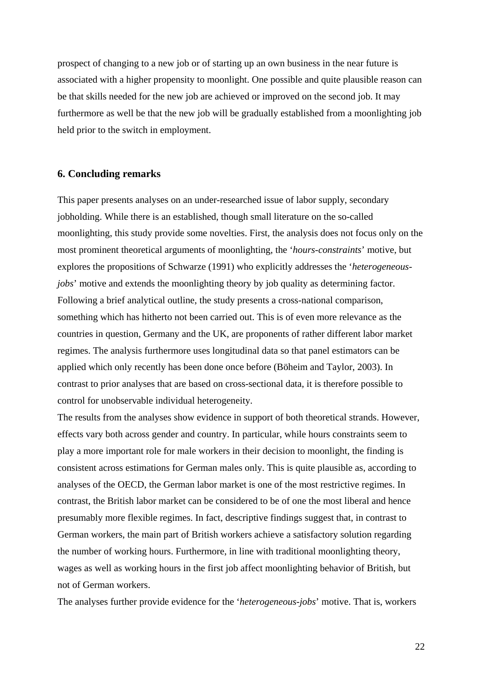prospect of changing to a new job or of starting up an own business in the near future is associated with a higher propensity to moonlight. One possible and quite plausible reason can be that skills needed for the new job are achieved or improved on the second job. It may furthermore as well be that the new job will be gradually established from a moonlighting job held prior to the switch in employment.

#### **6. Concluding remarks**

This paper presents analyses on an under-researched issue of labor supply, secondary jobholding. While there is an established, though small literature on the so-called moonlighting, this study provide some novelties. First, the analysis does not focus only on the most prominent theoretical arguments of moonlighting, the '*hours-constraints*' motive, but explores the propositions of Schwarze (1991) who explicitly addresses the '*heterogeneousjobs*' motive and extends the moonlighting theory by job quality as determining factor. Following a brief analytical outline, the study presents a cross-national comparison, something which has hitherto not been carried out. This is of even more relevance as the countries in question, Germany and the UK, are proponents of rather different labor market regimes. The analysis furthermore uses longitudinal data so that panel estimators can be applied which only recently has been done once before (Böheim and Taylor, 2003). In contrast to prior analyses that are based on cross-sectional data, it is therefore possible to control for unobservable individual heterogeneity.

The results from the analyses show evidence in support of both theoretical strands. However, effects vary both across gender and country. In particular, while hours constraints seem to play a more important role for male workers in their decision to moonlight, the finding is consistent across estimations for German males only. This is quite plausible as, according to analyses of the OECD, the German labor market is one of the most restrictive regimes. In contrast, the British labor market can be considered to be of one the most liberal and hence presumably more flexible regimes. In fact, descriptive findings suggest that, in contrast to German workers, the main part of British workers achieve a satisfactory solution regarding the number of working hours. Furthermore, in line with traditional moonlighting theory, wages as well as working hours in the first job affect moonlighting behavior of British, but not of German workers.

The analyses further provide evidence for the '*heterogeneous-jobs*' motive. That is, workers

22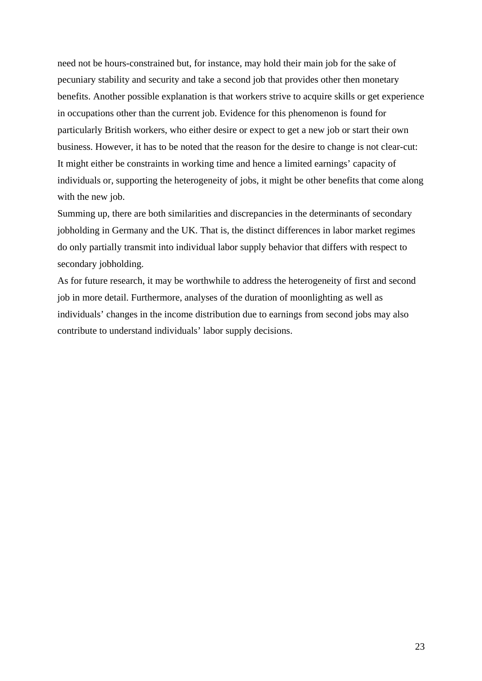need not be hours-constrained but, for instance, may hold their main job for the sake of pecuniary stability and security and take a second job that provides other then monetary benefits. Another possible explanation is that workers strive to acquire skills or get experience in occupations other than the current job. Evidence for this phenomenon is found for particularly British workers, who either desire or expect to get a new job or start their own business. However, it has to be noted that the reason for the desire to change is not clear-cut: It might either be constraints in working time and hence a limited earnings' capacity of individuals or, supporting the heterogeneity of jobs, it might be other benefits that come along with the new job.

Summing up, there are both similarities and discrepancies in the determinants of secondary jobholding in Germany and the UK. That is, the distinct differences in labor market regimes do only partially transmit into individual labor supply behavior that differs with respect to secondary jobholding.

As for future research, it may be worthwhile to address the heterogeneity of first and second job in more detail. Furthermore, analyses of the duration of moonlighting as well as individuals' changes in the income distribution due to earnings from second jobs may also contribute to understand individuals' labor supply decisions.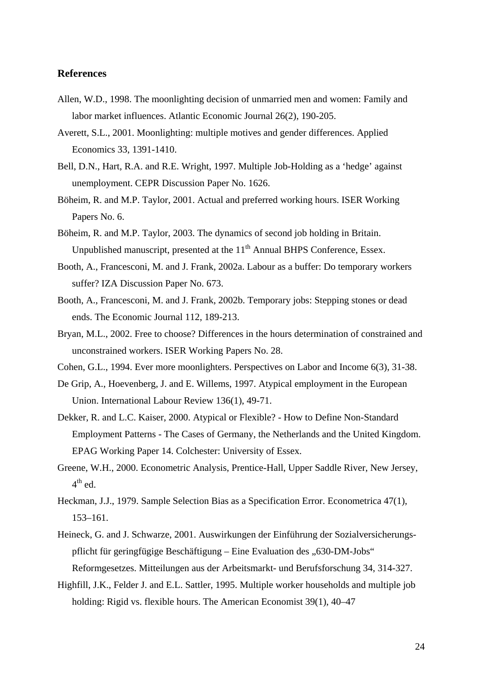#### **References**

- Allen, W.D., 1998. The moonlighting decision of unmarried men and women: Family and labor market influences. Atlantic Economic Journal 26(2), 190-205.
- Averett, S.L., 2001. Moonlighting: multiple motives and gender differences. Applied Economics 33, 1391-1410.
- Bell, D.N., Hart, R.A. and R.E. Wright, 1997. Multiple Job-Holding as a 'hedge' against unemployment. CEPR Discussion Paper No. 1626.
- Böheim, R. and M.P. Taylor, 2001. Actual and preferred working hours. ISER Working Papers No. 6.
- Böheim, R. and M.P. Taylor, 2003. The dynamics of second job holding in Britain. Unpublished manuscript, presented at the 11<sup>th</sup> Annual BHPS Conference, Essex.
- Booth, A., Francesconi, M. and J. Frank, 2002a. Labour as a buffer: Do temporary workers suffer? IZA Discussion Paper No. 673.
- Booth, A., Francesconi, M. and J. Frank, 2002b. Temporary jobs: Stepping stones or dead ends. The Economic Journal 112, 189-213.
- Bryan, M.L., 2002. Free to choose? Differences in the hours determination of constrained and unconstrained workers. ISER Working Papers No. 28.
- Cohen, G.L., 1994. Ever more moonlighters. Perspectives on Labor and Income 6(3), 31-38.
- De Grip, A., Hoevenberg, J. and E. Willems, 1997. Atypical employment in the European Union. International Labour Review 136(1), 49-71.
- Dekker, R. and L.C. Kaiser, 2000. Atypical or Flexible? How to Define Non-Standard Employment Patterns - The Cases of Germany, the Netherlands and the United Kingdom. EPAG Working Paper 14. Colchester: University of Essex.
- Greene, W.H., 2000. Econometric Analysis, Prentice-Hall, Upper Saddle River, New Jersey,  $4^{\text{th}}$  ed.
- Heckman, J.J., 1979. Sample Selection Bias as a Specification Error. Econometrica 47(1), 153–161.
- Heineck, G. and J. Schwarze, 2001. Auswirkungen der Einführung der Sozialversicherungspflicht für geringfügige Beschäftigung – Eine Evaluation des "630-DM-Jobs" Reformgesetzes. Mitteilungen aus der Arbeitsmarkt- und Berufsforschung 34, 314-327.
- Highfill, J.K., Felder J. and E.L. Sattler, 1995. Multiple worker households and multiple job holding: Rigid vs. flexible hours. The American Economist 39(1), 40–47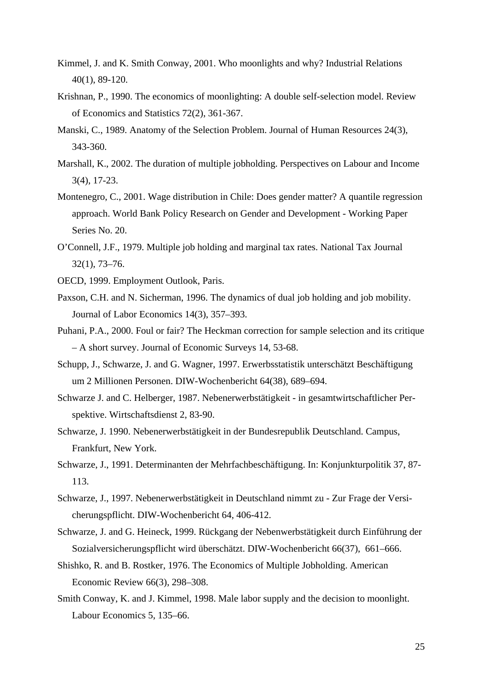- Kimmel, J. and K. Smith Conway, 2001. Who moonlights and why? Industrial Relations 40(1), 89-120.
- Krishnan, P., 1990. The economics of moonlighting: A double self-selection model. Review of Economics and Statistics 72(2), 361-367.
- Manski, C., 1989. Anatomy of the Selection Problem. Journal of Human Resources 24(3), 343-360.
- Marshall, K., 2002. The duration of multiple jobholding. Perspectives on Labour and Income 3(4), 17-23.
- Montenegro, C., 2001. Wage distribution in Chile: Does gender matter? A quantile regression approach. World Bank Policy Research on Gender and Development - Working Paper Series No. 20.
- O'Connell, J.F., 1979. Multiple job holding and marginal tax rates. National Tax Journal 32(1), 73–76.
- OECD, 1999. Employment Outlook, Paris.
- Paxson, C.H. and N. Sicherman, 1996. The dynamics of dual job holding and job mobility. Journal of Labor Economics 14(3), 357–393.
- Puhani, P.A., 2000. Foul or fair? The Heckman correction for sample selection and its critique – A short survey. Journal of Economic Surveys 14, 53-68.
- Schupp, J., Schwarze, J. and G. Wagner, 1997. Erwerbsstatistik unterschätzt Beschäftigung um 2 Millionen Personen. DIW-Wochenbericht 64(38), 689–694.
- Schwarze J. and C. Helberger, 1987. Nebenerwerbstätigkeit in gesamtwirtschaftlicher Perspektive. Wirtschaftsdienst 2, 83-90.
- Schwarze, J. 1990. Nebenerwerbstätigkeit in der Bundesrepublik Deutschland. Campus, Frankfurt, New York.
- Schwarze, J., 1991. Determinanten der Mehrfachbeschäftigung. In: Konjunkturpolitik 37, 87- 113.
- Schwarze, J., 1997. Nebenerwerbstätigkeit in Deutschland nimmt zu Zur Frage der Versicherungspflicht. DIW-Wochenbericht 64, 406-412.
- Schwarze, J. and G. Heineck, 1999. Rückgang der Nebenwerbstätigkeit durch Einführung der Sozialversicherungspflicht wird überschätzt. DIW-Wochenbericht 66(37), 661–666.
- Shishko, R. and B. Rostker, 1976. The Economics of Multiple Jobholding. American Economic Review 66(3), 298–308.
- Smith Conway, K. and J. Kimmel, 1998. Male labor supply and the decision to moonlight. Labour Economics 5, 135–66.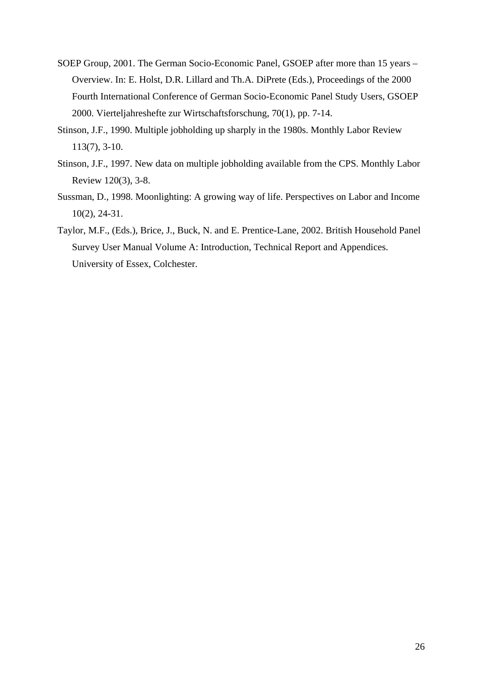- SOEP Group, 2001. The German Socio-Economic Panel, GSOEP after more than 15 years Overview. In: E. Holst, D.R. Lillard and Th.A. DiPrete (Eds.), Proceedings of the 2000 Fourth International Conference of German Socio-Economic Panel Study Users, GSOEP 2000. Vierteljahreshefte zur Wirtschaftsforschung, 70(1), pp. 7-14.
- Stinson, J.F., 1990. Multiple jobholding up sharply in the 1980s. Monthly Labor Review 113(7), 3-10.
- Stinson, J.F., 1997. New data on multiple jobholding available from the CPS. Monthly Labor Review 120(3), 3-8.
- Sussman, D., 1998. Moonlighting: A growing way of life. Perspectives on Labor and Income 10(2), 24-31.
- Taylor, M.F., (Eds.), Brice, J., Buck, N. and E. Prentice-Lane, 2002. British Household Panel Survey User Manual Volume A: Introduction, Technical Report and Appendices. University of Essex, Colchester.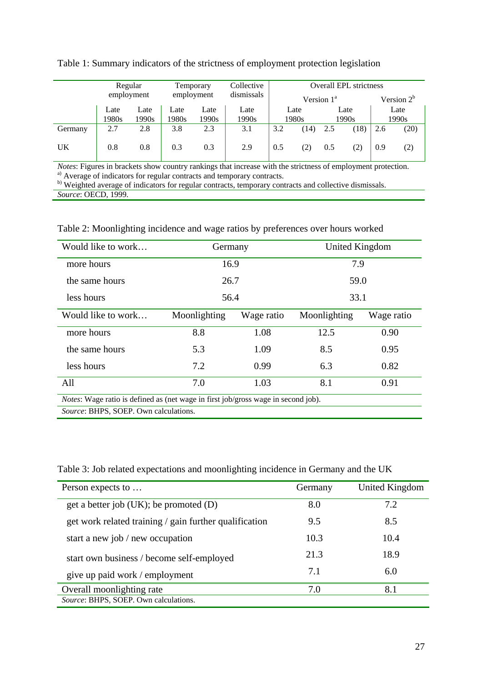|         | Regular<br>employment |       | Temporary<br>employment |       | Collective | <b>Overall EPL strictness</b> |       |      |       |               |       |
|---------|-----------------------|-------|-------------------------|-------|------------|-------------------------------|-------|------|-------|---------------|-------|
|         |                       |       |                         |       | dismissals | Version $1^a$                 |       |      |       | Version $2^b$ |       |
|         | Late                  | Late  | Late                    | Late  | Late       | Late                          |       | Late |       |               | Late  |
|         | 1980s                 | 1990s | 1980s                   | 1990s | 1990s      |                               | 1980s |      | 1990s |               | 1990s |
| Germany | 2.7                   | 2.8   | 3.8                     | 2.3   | 3.1        | 3.2                           | (14)  | 2.5  | (18)  | 2.6           | (20)  |
| UK      | 0.8                   | 0.8   | 0.3                     | 0.3   | 2.9        | 0.5                           | 2)    | 0.5  |       | 0.9           | (2)   |

| Table 1: Summary indicators of the strictness of employment protection legislation |  |  |  |  |
|------------------------------------------------------------------------------------|--|--|--|--|
|                                                                                    |  |  |  |  |

*Notes*: Figures in brackets show country rankings that increase with the strictness of employment protection. <sup>a)</sup> Average of indicators for regular contracts and temporary contracts.

b) Weighted average of indicators for regular contracts, temporary contracts and collective dismissals. *Source*: OECD, 1999.

Table 2: Moonlighting incidence and wage ratios by preferences over hours worked

| Would like to work                    | Germany                                                                                   |            | United Kingdom |            |  |  |  |  |  |  |
|---------------------------------------|-------------------------------------------------------------------------------------------|------------|----------------|------------|--|--|--|--|--|--|
| more hours                            | 16.9                                                                                      |            | 7.9            |            |  |  |  |  |  |  |
| the same hours                        | 26.7                                                                                      |            | 59.0           |            |  |  |  |  |  |  |
| less hours                            | 56.4                                                                                      |            | 33.1           |            |  |  |  |  |  |  |
| Would like to work                    | Moonlighting                                                                              | Wage ratio | Moonlighting   | Wage ratio |  |  |  |  |  |  |
| more hours                            | 8.8                                                                                       | 1.08       | 12.5           | 0.90       |  |  |  |  |  |  |
| the same hours                        | 5.3                                                                                       | 1.09       | 8.5            | 0.95       |  |  |  |  |  |  |
| less hours                            | 7.2                                                                                       | 0.99       | 6.3            | 0.82       |  |  |  |  |  |  |
| All                                   | 7.0                                                                                       | 1.03       | 8.1            | 0.91       |  |  |  |  |  |  |
|                                       | <i>Notes</i> : Wage ratio is defined as (net wage in first job/gross wage in second job). |            |                |            |  |  |  |  |  |  |
| Source: BHPS, SOEP. Own calculations. |                                                                                           |            |                |            |  |  |  |  |  |  |

Table 3: Job related expectations and moonlighting incidence in Germany and the UK

| Person expects to                                      | Germany | United Kingdom |
|--------------------------------------------------------|---------|----------------|
| get a better job $(UK)$ ; be promoted $(D)$            | 8.0     | 7.2            |
| get work related training / gain further qualification | 9.5     | 8.5            |
| start a new job / new occupation                       | 10.3    | 10.4           |
| start own business / become self-employed              | 21.3    | 18.9           |
| give up paid work / employment                         | 7.1     | 6.0            |
| Overall moonlighting rate                              | 7.0     | 8.1            |
| Source: BHPS, SOEP. Own calculations.                  |         |                |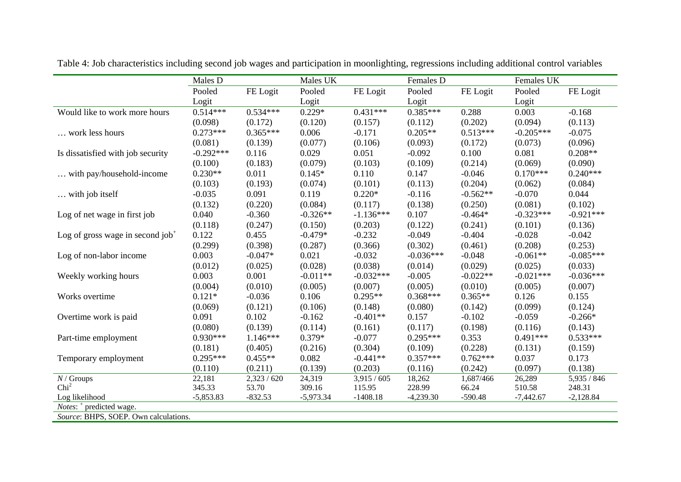|                                              | Males D     |            | Males UK    |             | Females D   |            | Females UK  |             |  |
|----------------------------------------------|-------------|------------|-------------|-------------|-------------|------------|-------------|-------------|--|
|                                              | Pooled      | FE Logit   | Pooled      | FE Logit    | Pooled      | FE Logit   | Pooled      | FE Logit    |  |
|                                              | Logit       |            | Logit       |             | Logit       |            | Logit       |             |  |
| Would like to work more hours                | $0.514***$  | $0.534***$ | $0.229*$    | $0.431***$  | $0.385***$  | 0.288      | 0.003       | $-0.168$    |  |
|                                              | (0.098)     | (0.172)    | (0.120)     | (0.157)     | (0.112)     | (0.202)    | (0.094)     | (0.113)     |  |
| work less hours                              | $0.273***$  | $0.365***$ | 0.006       | $-0.171$    | $0.205**$   | $0.513***$ | $-0.205***$ | $-0.075$    |  |
|                                              | (0.081)     | (0.139)    | (0.077)     | (0.106)     | (0.093)     | (0.172)    | (0.073)     | (0.096)     |  |
| Is dissatisfied with job security            | $-0.292***$ | 0.116      | 0.029       | 0.051       | $-0.092$    | 0.100      | 0.081       | $0.208**$   |  |
|                                              | (0.100)     | (0.183)    | (0.079)     | (0.103)     | (0.109)     | (0.214)    | (0.069)     | (0.090)     |  |
| with pay/household-income                    | $0.230**$   | 0.011      | $0.145*$    | 0.110       | 0.147       | $-0.046$   | $0.170***$  | $0.240***$  |  |
|                                              | (0.103)     | (0.193)    | (0.074)     | (0.101)     | (0.113)     | (0.204)    | (0.062)     | (0.084)     |  |
| with job itself                              | $-0.035$    | 0.091      | 0.119       | $0.220*$    | $-0.116$    | $-0.562**$ | $-0.070$    | 0.044       |  |
|                                              | (0.132)     | (0.220)    | (0.084)     | (0.117)     | (0.138)     | (0.250)    | (0.081)     | (0.102)     |  |
| Log of net wage in first job                 | 0.040       | $-0.360$   | $-0.326**$  | $-1.136***$ | 0.107       | $-0.464*$  | $-0.323***$ | $-0.921***$ |  |
|                                              | (0.118)     | (0.247)    | (0.150)     | (0.203)     | (0.122)     | (0.241)    | (0.101)     | (0.136)     |  |
| Log of gross wage in second job <sup>+</sup> | 0.122       | 0.455      | $-0.479*$   | $-0.232$    | $-0.049$    | $-0.404$   | $-0.028$    | $-0.042$    |  |
|                                              | (0.299)     | (0.398)    | (0.287)     | (0.366)     | (0.302)     | (0.461)    | (0.208)     | (0.253)     |  |
| Log of non-labor income                      | 0.003       | $-0.047*$  | 0.021       | $-0.032$    | $-0.036***$ | $-0.048$   | $-0.061**$  | $-0.085***$ |  |
|                                              | (0.012)     | (0.025)    | (0.028)     | (0.038)     | (0.014)     | (0.029)    | (0.025)     | (0.033)     |  |
| Weekly working hours                         | 0.003       | 0.001      | $-0.011**$  | $-0.032***$ | $-0.005$    | $-0.022**$ | $-0.021***$ | $-0.036***$ |  |
|                                              | (0.004)     | (0.010)    | (0.005)     | (0.007)     | (0.005)     | (0.010)    | (0.005)     | (0.007)     |  |
| Works overtime                               | $0.121*$    | $-0.036$   | 0.106       | $0.295**$   | $0.368***$  | $0.365**$  | 0.126       | 0.155       |  |
|                                              | (0.069)     | (0.121)    | (0.106)     | (0.148)     | (0.080)     | (0.142)    | (0.099)     | (0.124)     |  |
| Overtime work is paid                        | 0.091       | 0.102      | $-0.162$    | $-0.401**$  | 0.157       | $-0.102$   | $-0.059$    | $-0.266*$   |  |
|                                              | (0.080)     | (0.139)    | (0.114)     | (0.161)     | (0.117)     | (0.198)    | (0.116)     | (0.143)     |  |
| Part-time employment                         | $0.930***$  | $1.146***$ | $0.379*$    | $-0.077$    | $0.295***$  | 0.353      | $0.491***$  | $0.533***$  |  |
|                                              | (0.181)     | (0.405)    | (0.216)     | (0.304)     | (0.109)     | (0.228)    | (0.131)     | (0.159)     |  |
| Temporary employment                         | $0.295***$  | $0.455**$  | 0.082       | $-0.441**$  | $0.357***$  | $0.762***$ | 0.037       | 0.173       |  |
|                                              | (0.110)     | (0.211)    | (0.139)     | (0.203)     | (0.116)     | (0.242)    | (0.097)     | (0.138)     |  |
| $N/$ Groups                                  | 22,181      | 2,323/620  | 24,319      | 3,915/605   | 18,262      | 1,687/466  | 26,289      | 5,935 / 846 |  |
| Chi <sup>2</sup>                             | 345.33      | 53.70      | 309.16      | 115.95      | 228.99      | 66.24      | 510.58      | 248.31      |  |
| Log likelihood                               | $-5,853.83$ | $-832.53$  | $-5,973.34$ | $-1408.18$  | $-4,239.30$ | $-590.48$  | $-7,442.67$ | $-2,128.84$ |  |
| <i>Notes</i> : $+$ predicted wage.           |             |            |             |             |             |            |             |             |  |
| Source: BHPS, SOEP. Own calculations.        |             |            |             |             |             |            |             |             |  |

Table 4: Job characteristics including second job wages and participation in moonlighting, regressions including additional control variables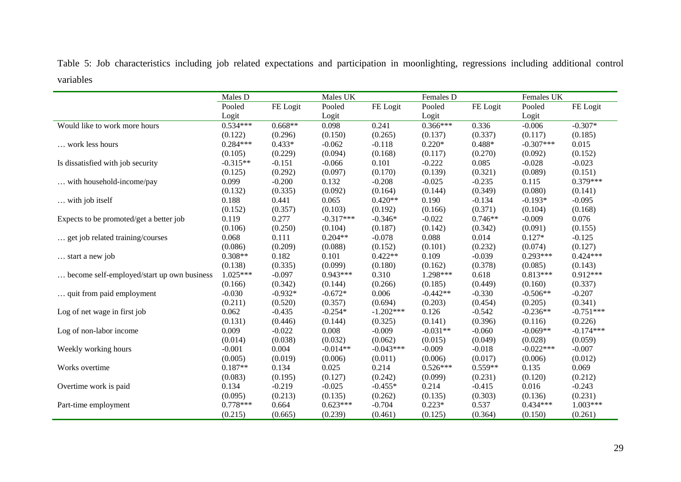Table 5: Job characteristics including job related expectations and participation in moonlighting, regressions including additional control variables

|                                            | Males D    |           | Males UK    |             | Females D  |           | Females UK  |             |
|--------------------------------------------|------------|-----------|-------------|-------------|------------|-----------|-------------|-------------|
|                                            | Pooled     | FE Logit  | Pooled      | FE Logit    | Pooled     | FE Logit  | Pooled      | FE Logit    |
|                                            | Logit      |           | Logit       |             | Logit      |           | Logit       |             |
| Would like to work more hours              | $0.534***$ | $0.668**$ | 0.098       | 0.241       | $0.366***$ | 0.336     | $-0.006$    | $-0.307*$   |
|                                            | (0.122)    | (0.296)   | (0.150)     | (0.265)     | (0.137)    | (0.337)   | (0.117)     | (0.185)     |
| work less hours                            | $0.284***$ | $0.433*$  | $-0.062$    | $-0.118$    | $0.220*$   | $0.488*$  | $-0.307***$ | 0.015       |
|                                            | (0.105)    | (0.229)   | (0.094)     | (0.168)     | (0.117)    | (0.270)   | (0.092)     | (0.152)     |
| Is dissatisfied with job security          | $-0.315**$ | $-0.151$  | $-0.066$    | 0.101       | $-0.222$   | 0.085     | $-0.028$    | $-0.023$    |
|                                            | (0.125)    | (0.292)   | (0.097)     | (0.170)     | (0.139)    | (0.321)   | (0.089)     | (0.151)     |
| with household-income/pay                  | 0.099      | $-0.200$  | 0.132       | $-0.208$    | $-0.025$   | $-0.235$  | 0.115       | $0.379***$  |
|                                            | (0.132)    | (0.335)   | (0.092)     | (0.164)     | (0.144)    | (0.349)   | (0.080)     | (0.141)     |
| with job itself                            | 0.188      | 0.441     | 0.065       | $0.420**$   | 0.190      | $-0.134$  | $-0.193*$   | $-0.095$    |
|                                            | (0.152)    | (0.357)   | (0.103)     | (0.192)     | (0.166)    | (0.371)   | (0.104)     | (0.168)     |
| Expects to be promoted/get a better job    | 0.119      | 0.277     | $-0.317***$ | $-0.346*$   | $-0.022$   | $0.746**$ | $-0.009$    | 0.076       |
|                                            | (0.106)    | (0.250)   | (0.104)     | (0.187)     | (0.142)    | (0.342)   | (0.091)     | (0.155)     |
| get job related training/courses           | 0.068      | 0.111     | $0.204**$   | $-0.078$    | 0.088      | 0.014     | $0.127*$    | $-0.125$    |
|                                            | (0.086)    | (0.209)   | (0.088)     | (0.152)     | (0.101)    | (0.232)   | (0.074)     | (0.127)     |
| start a new job                            | $0.308**$  | 0.182     | 0.101       | $0.422**$   | 0.109      | $-0.039$  | $0.293***$  | $0.424***$  |
|                                            | (0.138)    | (0.335)   | (0.099)     | (0.180)     | (0.162)    | (0.378)   | (0.085)     | (0.143)     |
| become self-employed/start up own business | $1.025***$ | $-0.097$  | $0.943***$  | 0.310       | 1.298***   | 0.618     | $0.813***$  | $0.912***$  |
|                                            | (0.166)    | (0.342)   | (0.144)     | (0.266)     | (0.185)    | (0.449)   | (0.160)     | (0.337)     |
| quit from paid employment                  | $-0.030$   | $-0.932*$ | $-0.672*$   | 0.006       | $-0.442**$ | $-0.330$  | $-0.506**$  | $-0.207$    |
|                                            | (0.211)    | (0.520)   | (0.357)     | (0.694)     | (0.203)    | (0.454)   | (0.205)     | (0.341)     |
| Log of net wage in first job               | 0.062      | $-0.435$  | $-0.254*$   | $-1.202***$ | 0.126      | $-0.542$  | $-0.236**$  | $-0.751***$ |
|                                            | (0.131)    | (0.446)   | (0.144)     | (0.325)     | (0.141)    | (0.396)   | (0.116)     | (0.226)     |
| Log of non-labor income                    | 0.009      | $-0.022$  | 0.008       | $-0.009$    | $-0.031**$ | $-0.060$  | $-0.069**$  | $-0.174***$ |
|                                            | (0.014)    | (0.038)   | (0.032)     | (0.062)     | (0.015)    | (0.049)   | (0.028)     | (0.059)     |
| Weekly working hours                       | $-0.001$   | 0.004     | $-0.014**$  | $-0.043***$ | $-0.009$   | $-0.018$  | $-0.022***$ | $-0.007$    |
|                                            | (0.005)    | (0.019)   | (0.006)     | (0.011)     | (0.006)    | (0.017)   | (0.006)     | (0.012)     |
| Works overtime                             | $0.187**$  | 0.134     | 0.025       | 0.214       | $0.526***$ | $0.559**$ | 0.135       | 0.069       |
|                                            | (0.083)    | (0.195)   | (0.127)     | (0.242)     | (0.099)    | (0.231)   | (0.120)     | (0.212)     |
| Overtime work is paid                      | 0.134      | $-0.219$  | $-0.025$    | $-0.455*$   | 0.214      | $-0.415$  | 0.016       | $-0.243$    |
|                                            | (0.095)    | (0.213)   | (0.135)     | (0.262)     | (0.135)    | (0.303)   | (0.136)     | (0.231)     |
| Part-time employment                       | $0.778***$ | 0.664     | $0.623***$  | $-0.704$    | $0.223*$   | 0.537     | $0.434***$  | $1.003***$  |
|                                            | (0.215)    | (0.665)   | (0.239)     | (0.461)     | (0.125)    | (0.364)   | (0.150)     | (0.261)     |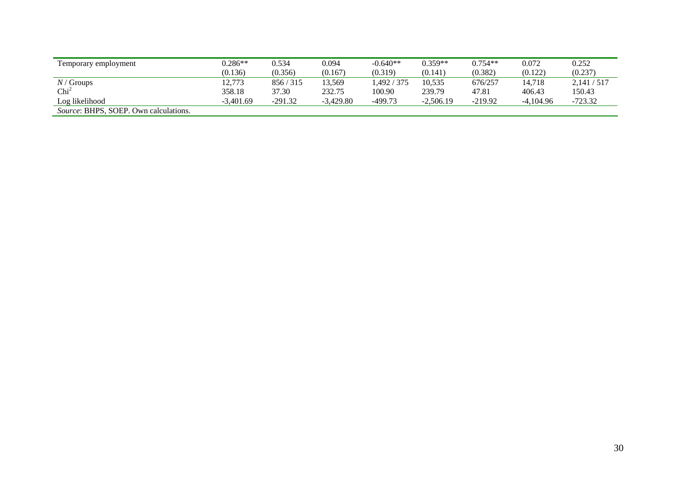| Temporary employment                         | $0.286**$   | 0.534     | 0.094       | $-0.640**$  | $0.359**$   | $0.754**$ | 0.072       | 0.252       |
|----------------------------------------------|-------------|-----------|-------------|-------------|-------------|-----------|-------------|-------------|
|                                              | (0.136)     | (0.356)   | (0.167)     | (0.319)     | (0.141)     | (0.382)   | (0.122)     | (0.237)     |
| $N/G$ roups                                  | 12,773      | 856/315   | 13,569      | 1.492 / 375 | 10.535      | 676/257   | 14.718      | 2.141 / 517 |
| $\mathrm{Chi}^2$                             | 358.18      | 37.30     | 232.75      | 100.90      | 239.79      | 47.81     | 406.43      | 150.43      |
| Log likelihood                               | $-3.401.69$ | $-291.32$ | $-3.429.80$ | $-499.73$   | $-2.506.19$ | $-219.92$ | $-4.104.96$ | $-723.32$   |
| <i>Source:</i> BHPS, SOEP. Own calculations. |             |           |             |             |             |           |             |             |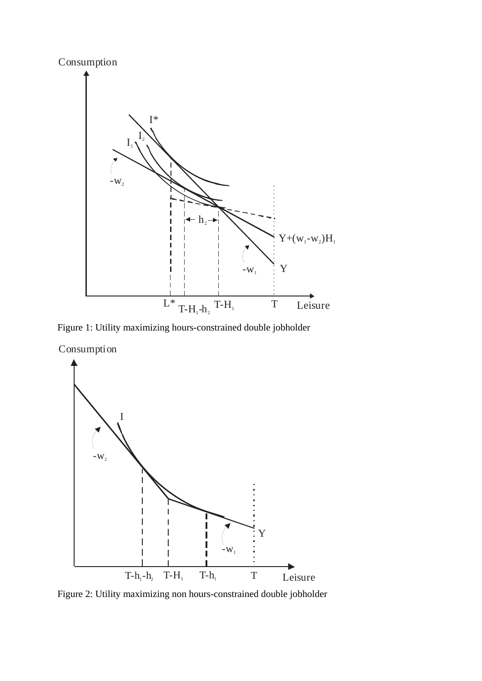

Figure 1: Utility maximizing hours-constrained double jobholder

Consumption



Figure 2: Utility maximizing non hours-constrained double jobholder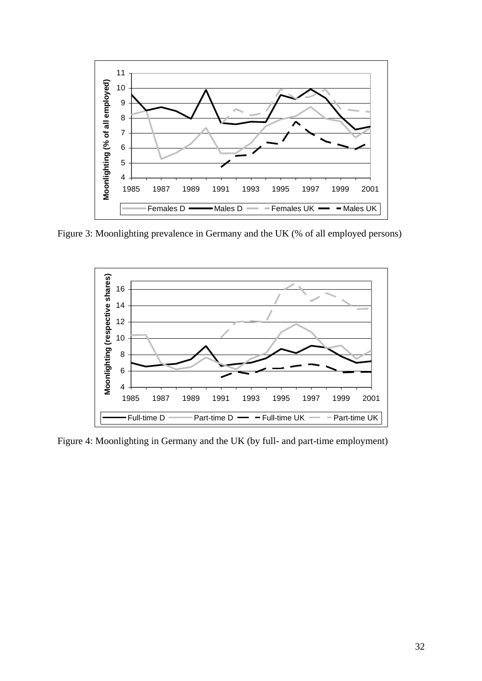

Figure 3: Moonlighting prevalence in Germany and the UK (% of all employed persons)



Figure 4: Moonlighting in Germany and the UK (by full- and part-time employment)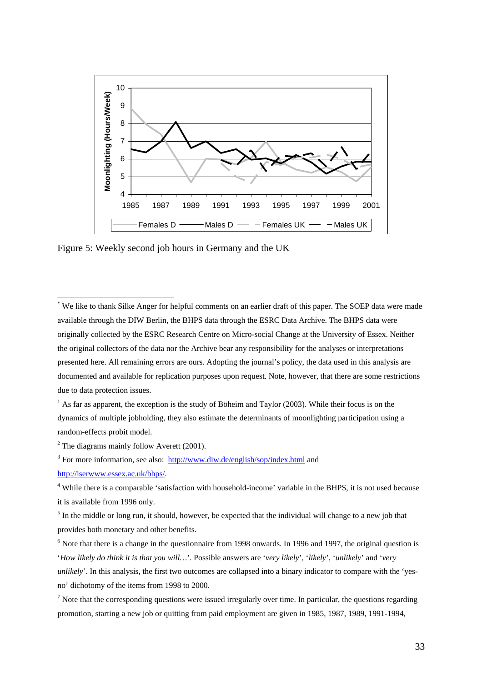

Figure 5: Weekly second job hours in Germany and the UK

\* We like to thank Silke Anger for helpful comments on an earlier draft of this paper. The SOEP data were made available through the DIW Berlin, the BHPS data through the ESRC Data Archive. The BHPS data were originally collected by the ESRC Research Centre on Micro-social Change at the University of Essex. Neither the original collectors of the data nor the Archive bear any responsibility for the analyses or interpretations presented here. All remaining errors are ours. Adopting the journal's policy, the data used in this analysis are documented and available for replication purposes upon request. Note, however, that there are some restrictions due to data protection issues.

 $<sup>1</sup>$  As far as apparent, the exception is the study of Böheim and Taylor (2003). While their focus is on the</sup> dynamics of multiple jobholding, they also estimate the determinants of moonlighting participation using a random-effects probit model.

 $2^2$  The diagrams mainly follow Averett (2001).

 $\overline{a}$ 

<sup>3</sup> For more information, see also:  $\frac{http://www.diw.de/english/sop/index.html}{http://www.diw.de/english/sop/index.html}$  and http://iserwww.essex.ac.uk/bhps/.

<sup>4</sup> While there is a comparable 'satisfaction with household-income' variable in the BHPS, it is not used because it is available from 1996 only.

 $<sup>5</sup>$  In the middle or long run, it should, however, be expected that the individual will change to a new job that</sup> provides both monetary and other benefits.

 $6$  Note that there is a change in the questionnaire from 1998 onwards. In 1996 and 1997, the original question is '*How likely do think it is that you will…*'. Possible answers are '*very likely*', '*likely*', '*unlikely*' and '*very unlikely*'. In this analysis, the first two outcomes are collapsed into a binary indicator to compare with the 'yesno' dichotomy of the items from 1998 to 2000.

 $<sup>7</sup>$  Note that the corresponding questions were issued irregularly over time. In particular, the questions regarding</sup> promotion, starting a new job or quitting from paid employment are given in 1985, 1987, 1989, 1991-1994,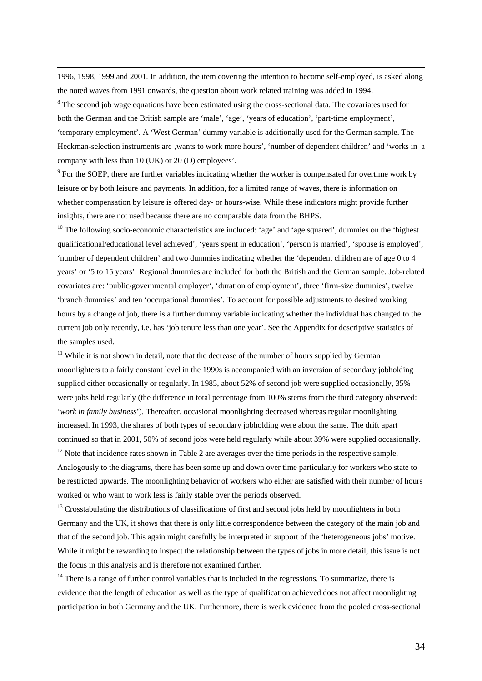1996, 1998, 1999 and 2001. In addition, the item covering the intention to become self-employed, is asked along the noted waves from 1991 onwards, the question about work related training was added in 1994.

<sup>8</sup> The second job wage equations have been estimated using the cross-sectional data. The covariates used for both the German and the British sample are 'male', 'age', 'years of education', 'part-time employment', 'temporary employment'. A 'West German' dummy variable is additionally used for the German sample. The Heckman-selection instruments are 'wants to work more hours', 'number of dependent children' and 'works in a company with less than 10 (UK) or 20 (D) employees'.

 $9^9$  For the SOEP, there are further variables indicating whether the worker is compensated for overtime work by leisure or by both leisure and payments. In addition, for a limited range of waves, there is information on whether compensation by leisure is offered day- or hours-wise. While these indicators might provide further insights, there are not used because there are no comparable data from the BHPS.

 $10$  The following socio-economic characteristics are included: 'age' and 'age squared', dummies on the 'highest' qualificational/educational level achieved', 'years spent in education', 'person is married', 'spouse is employed', 'number of dependent children' and two dummies indicating whether the 'dependent children are of age 0 to 4 years' or '5 to 15 years'. Regional dummies are included for both the British and the German sample. Job-related covariates are: 'public/governmental employer', 'duration of employment', three 'firm-size dummies', twelve 'branch dummies' and ten 'occupational dummies'. To account for possible adjustments to desired working hours by a change of job, there is a further dummy variable indicating whether the individual has changed to the current job only recently, i.e. has 'job tenure less than one year'. See the Appendix for descriptive statistics of the samples used.

<sup>11</sup> While it is not shown in detail, note that the decrease of the number of hours supplied by German moonlighters to a fairly constant level in the 1990s is accompanied with an inversion of secondary jobholding supplied either occasionally or regularly. In 1985, about 52% of second job were supplied occasionally, 35% were jobs held regularly (the difference in total percentage from 100% stems from the third category observed: '*work in family business*'). Thereafter, occasional moonlighting decreased whereas regular moonlighting increased. In 1993, the shares of both types of secondary jobholding were about the same. The drift apart continued so that in 2001, 50% of second jobs were held regularly while about 39% were supplied occasionally. <sup>12</sup> Note that incidence rates shown in Table 2 are averages over the time periods in the respective sample. Analogously to the diagrams, there has been some up and down over time particularly for workers who state to

be restricted upwards. The moonlighting behavior of workers who either are satisfied with their number of hours worked or who want to work less is fairly stable over the periods observed.

 $<sup>13</sup>$  Crosstabulating the distributions of classifications of first and second jobs held by moonlighters in both</sup> Germany and the UK, it shows that there is only little correspondence between the category of the main job and that of the second job. This again might carefully be interpreted in support of the 'heterogeneous jobs' motive. While it might be rewarding to inspect the relationship between the types of jobs in more detail, this issue is not the focus in this analysis and is therefore not examined further.

 $14$  There is a range of further control variables that is included in the regressions. To summarize, there is evidence that the length of education as well as the type of qualification achieved does not affect moonlighting participation in both Germany and the UK. Furthermore, there is weak evidence from the pooled cross-sectional